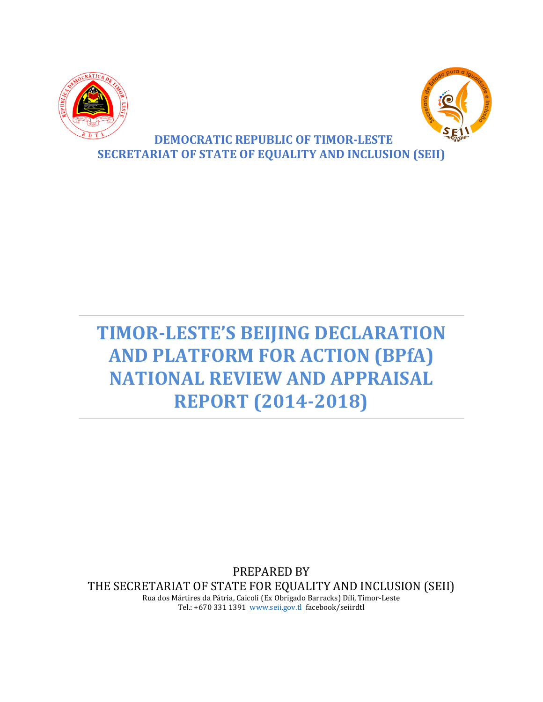



# **DEMOCRATIC REPUBLIC OF TIMOR-LESTE SECRETARIAT OF STATE OF EQUALITY AND INCLUSION (SEII)**

# **TIMOR-LESTE'S BEIJING DECLARATION AND PLATFORM FOR ACTION (BPfA) NATIONAL REVIEW AND APPRAISAL REPORT (2014-2018)**

PREPARED BY THE SECRETARIAT OF STATE FOR EQUALITY AND INCLUSION (SEII) Rua dos Mártires da Pátria, Caicoli (Ex Obrigado Barracks) Díli, Timor-Leste

Tel.: +670 331 1391 www.seii.gov.tl\_facebook/seiirdtl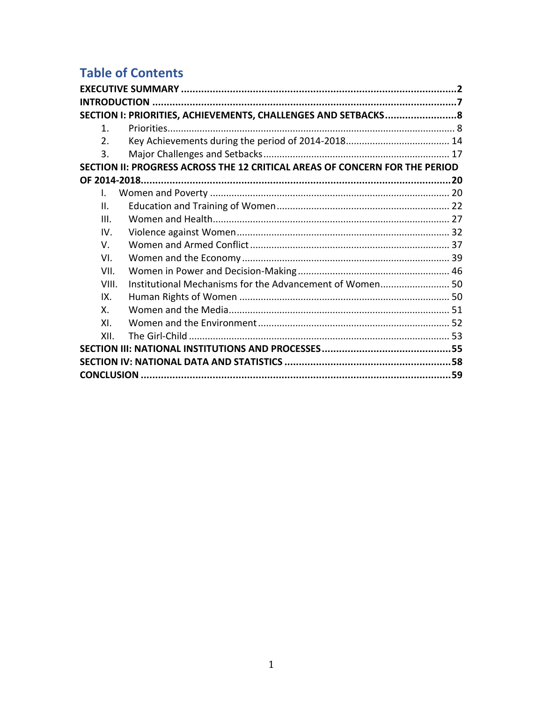# **Table of Contents**

|              | SECTION I: PRIORITIES, ACHIEVEMENTS, CHALLENGES AND SETBACKS8               |  |
|--------------|-----------------------------------------------------------------------------|--|
| $1_{-}$      |                                                                             |  |
| $2_{-}$      |                                                                             |  |
| 3.           |                                                                             |  |
|              | SECTION II: PROGRESS ACROSS THE 12 CRITICAL AREAS OF CONCERN FOR THE PERIOD |  |
|              |                                                                             |  |
| $\mathbf{L}$ |                                                                             |  |
| Ш.           |                                                                             |  |
| III.         |                                                                             |  |
| IV.          |                                                                             |  |
| V.           |                                                                             |  |
| VI.          |                                                                             |  |
| VII.         |                                                                             |  |
| VIII.        | Institutional Mechanisms for the Advancement of Women 50                    |  |
| IX.          |                                                                             |  |
| Χ.           |                                                                             |  |
| XI.          |                                                                             |  |
| XII.         |                                                                             |  |
|              |                                                                             |  |
|              |                                                                             |  |
|              |                                                                             |  |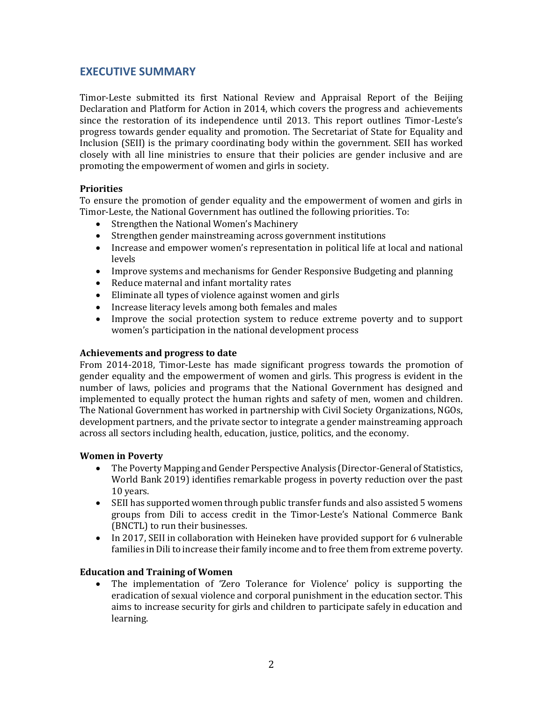# <span id="page-2-0"></span>**EXECUTIVE SUMMARY**

Timor-Leste submitted its first National Review and Appraisal Report of the Beijing Declaration and Platform for Action in 2014, which covers the progress and achievements since the restoration of its independence until 2013. This report outlines Timor-Leste's progress towards gender equality and promotion. The Secretariat of State for Equality and Inclusion (SEII) is the primary coordinating body within the government. SEII has worked closely with all line ministries to ensure that their policies are gender inclusive and are promoting the empowerment of women and girls in society.

#### **Priorities**

To ensure the promotion of gender equality and the empowerment of women and girls in Timor-Leste, the National Government has outlined the following priorities. To:

- Strengthen the National Women's Machinery
- Strengthen gender mainstreaming across government institutions
- Increase and empower women's representation in political life at local and national levels
- Improve systems and mechanisms for Gender Responsive Budgeting and planning
- Reduce maternal and infant mortality rates
- Eliminate all types of violence against women and girls
- Increase literacy levels among both females and males
- Improve the social protection system to reduce extreme poverty and to support women's participation in the national development process

#### **Achievements and progress to date**

From 2014-2018, Timor-Leste has made significant progress towards the promotion of gender equality and the empowerment of women and girls. This progress is evident in the number of laws, policies and programs that the National Government has designed and implemented to equally protect the human rights and safety of men, women and children. The National Government has worked in partnership with Civil Society Organizations, NGOs, development partners, and the private sector to integrate a gender mainstreaming approach across all sectors including health, education, justice, politics, and the economy.

#### **Women in Poverty**

- The Poverty Mapping and Gender Perspective Analysis (Director-General of Statistics, World Bank 2019) identifies remarkable progess in poverty reduction over the past 10 years.
- SEII has supported women through public transfer funds and also assisted 5 womens groups from Dili to access credit in the Timor-Leste's National Commerce Bank (BNCTL) to run their businesses.
- In 2017, SEII in collaboration with Heineken have provided support for 6 vulnerable families in Dili to increase their family income and to free them from extreme poverty.

#### **Education and Training of Women**

• The implementation of 'Zero Tolerance for Violence' policy is supporting the eradication of sexual violence and corporal punishment in the education sector. This aims to increase security for girls and children to participate safely in education and learning.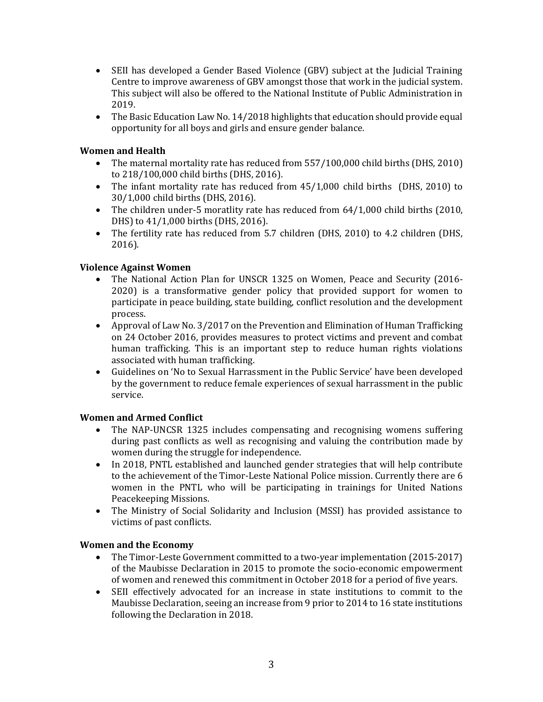- SEII has developed a Gender Based Violence (GBV) subject at the Judicial Training Centre to improve awareness of GBV amongst those that work in the judicial system. This subject will also be offered to the National Institute of Public Administration in 2019.
- The Basic Education Law No. 14/2018 highlights that education should provide equal opportunity for all boys and girls and ensure gender balance.

# **Women and Health**

- The maternal mortality rate has reduced from 557/100,000 child births (DHS, 2010) to 218/100,000 child births (DHS, 2016).
- The infant mortality rate has reduced from 45/1,000 child births (DHS, 2010) to 30/1,000 child births (DHS, 2016).
- The children under-5 moratlity rate has reduced from 64/1,000 child births (2010, DHS) to 41/1,000 births (DHS, 2016).
- The fertility rate has reduced from 5.7 children (DHS, 2010) to 4.2 children (DHS, 2016).

# **Violence Against Women**

- The National Action Plan for UNSCR 1325 on Women, Peace and Security (2016- 2020) is a transformative gender policy that provided support for women to participate in peace building, state building, conflict resolution and the development process.
- Approval of Law No. 3/2017 on the Prevention and Elimination of Human Trafficking on 24 October 2016, provides measures to protect victims and prevent and combat human trafficking. This is an important step to reduce human rights violations associated with human trafficking.
- Guidelines on 'No to Sexual Harrassment in the Public Service' have been developed by the government to reduce female experiences of sexual harrassment in the public service.

# **Women and Armed Conflict**

- The NAP-UNCSR 1325 includes compensating and recognising womens suffering during past conflicts as well as recognising and valuing the contribution made by women during the struggle for independence.
- In 2018, PNTL established and launched gender strategies that will help contribute to the achievement of the Timor-Leste National Police mission. Currently there are 6 women in the PNTL who will be participating in trainings for United Nations Peacekeeping Missions.
- The Ministry of Social Solidarity and Inclusion (MSSI) has provided assistance to victims of past conflicts.

# **Women and the Economy**

- The Timor-Leste Government committed to a two-year implementation (2015-2017) of the Maubisse Declaration in 2015 to promote the socio-economic empowerment of women and renewed this commitment in October 2018 for a period of five years.
- SEII effectively advocated for an increase in state institutions to commit to the Maubisse Declaration, seeing an increase from 9 prior to 2014 to 16 state institutions following the Declaration in 2018.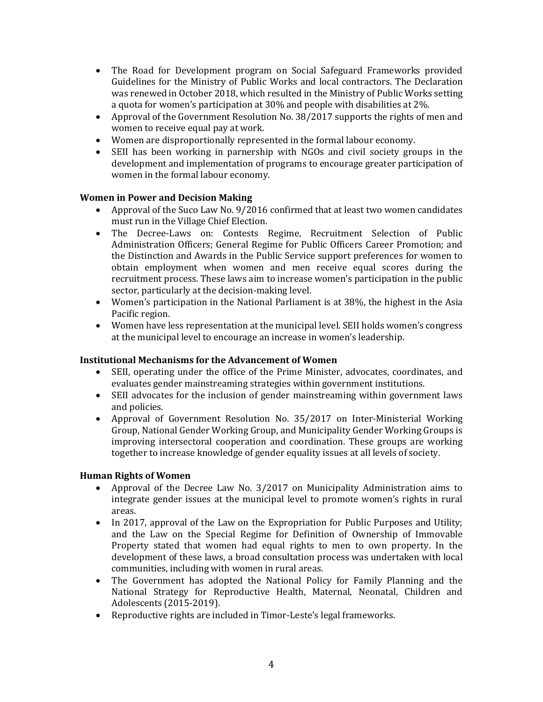- The Road for Development program on Social Safeguard Frameworks provided Guidelines for the Ministry of Public Works and local contractors. The Declaration was renewed in October 2018, which resulted in the Ministry of Public Works setting a quota for women's participation at 30% and people with disabilities at 2%.
- Approval of the Government Resolution No. 38/2017 supports the rights of men and women to receive equal pay at work.
- Women are disproportionally represented in the formal labour economy.
- SEII has been working in parnership with NGOs and civil society groups in the development and implementation of programs to encourage greater participation of women in the formal labour economy.

# **Women in Power and Decision Making**

- Approval of the Suco Law No. 9/2016 confirmed that at least two women candidates must run in the Village Chief Election.
- The Decree-Laws on: Contests Regime, Recruitment Selection of Public Administration Officers; General Regime for Public Officers Career Promotion; and the Distinction and Awards in the Public Service support preferences for women to obtain employment when women and men receive equal scores during the recruitment process. These laws aim to increase women's participation in the public sector, particularly at the decision-making level.
- Women's participation in the National Parliament is at 38%, the highest in the Asia Pacific region.
- Women have less representation at the municipal level. SEII holds women's congress at the municipal level to encourage an increase in women's leadership.

# **Institutional Mechanisms for the Advancement of Women**

- SEII, operating under the office of the Prime Minister, advocates, coordinates, and evaluates gender mainstreaming strategies within government institutions.
- SEII advocates for the inclusion of gender mainstreaming within government laws and policies.
- Approval of Government Resolution No. 35/2017 on Inter-Ministerial Working Group, National Gender Working Group, and Municipality Gender Working Groups is improving intersectoral cooperation and coordination. These groups are working together to increase knowledge of gender equality issues at all levels of society.

# **Human Rights of Women**

- Approval of the Decree Law No. 3/2017 on Municipality Administration aims to integrate gender issues at the municipal level to promote women's rights in rural areas.
- In 2017, approval of the Law on the Expropriation for Public Purposes and Utility; and the Law on the Special Regime for Definition of Ownership of Immovable Property stated that women had equal rights to men to own property. In the development of these laws, a broad consultation process was undertaken with local communities, including with women in rural areas.
- The Government has adopted the National Policy for Family Planning and the National Strategy for Reproductive Health, Maternal, Neonatal, Children and Adolescents (2015-2019).
- Reproductive rights are included in Timor-Leste's legal frameworks.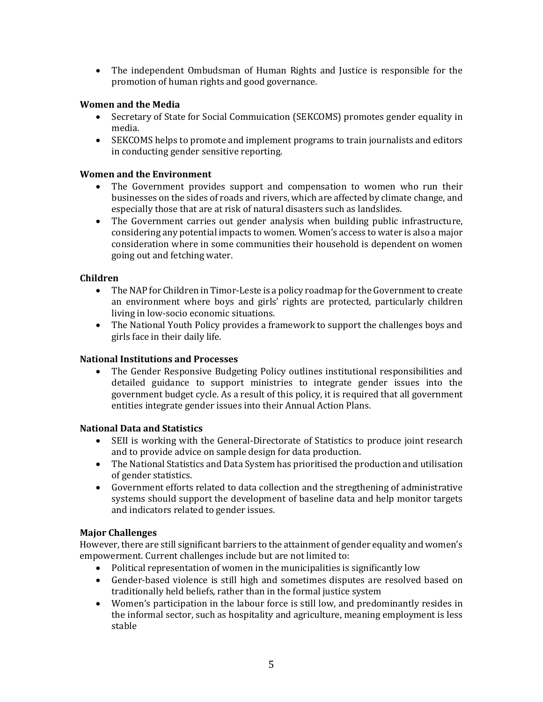• The independent Ombudsman of Human Rights and Justice is responsible for the promotion of human rights and good governance.

#### **Women and the Media**

- Secretary of State for Social Commuication (SEKCOMS) promotes gender equality in media.
- SEKCOMS helps to promote and implement programs to train journalists and editors in conducting gender sensitive reporting.

#### **Women and the Environment**

- The Government provides support and compensation to women who run their businesses on the sides of roads and rivers, which are affected by climate change, and especially those that are at risk of natural disasters such as landslides.
- The Government carries out gender analysis when building public infrastructure, considering any potential impacts to women. Women's access to water is also a major consideration where in some communities their household is dependent on women going out and fetching water.

#### **Children**

- The NAP for Children in Timor-Leste is a policy roadmap for the Government to create an environment where boys and girls' rights are protected, particularly children living in low-socio economic situations.
- The National Youth Policy provides a framework to support the challenges boys and girls face in their daily life.

#### **National Institutions and Processes**

• The Gender Responsive Budgeting Policy outlines institutional responsibilities and detailed guidance to support ministries to integrate gender issues into the government budget cycle. As a result of this policy, it is required that all government entities integrate gender issues into their Annual Action Plans.

#### **National Data and Statistics**

- SEII is working with the General-Directorate of Statistics to produce joint research and to provide advice on sample design for data production.
- The National Statistics and Data System has prioritised the production and utilisation of gender statistics.
- Government efforts related to data collection and the stregthening of administrative systems should support the development of baseline data and help monitor targets and indicators related to gender issues.

# **Major Challenges**

However, there are still significant barriers to the attainment of gender equality and women's empowerment. Current challenges include but are not limited to:

- Political representation of women in the municipalities is significantly low
- Gender-based violence is still high and sometimes disputes are resolved based on traditionally held beliefs, rather than in the formal justice system
- Women's participation in the labour force is still low, and predominantly resides in the informal sector, such as hospitality and agriculture, meaning employment is less stable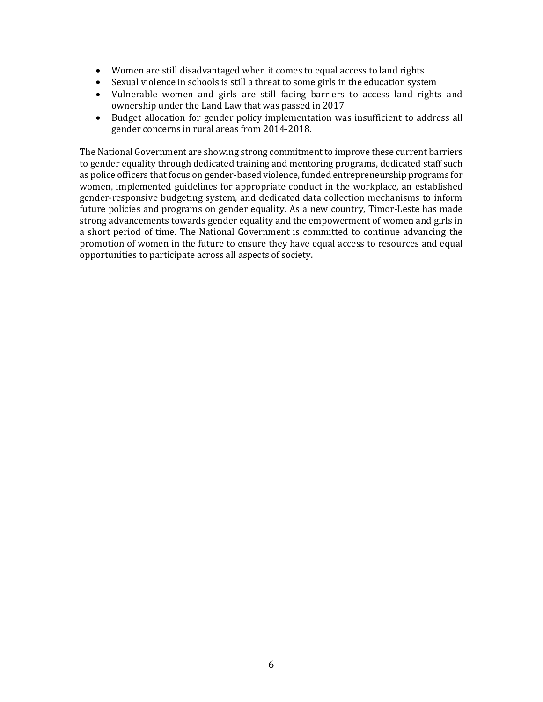- Women are still disadvantaged when it comes to equal access to land rights
- Sexual violence in schools is still a threat to some girls in the education system
- Vulnerable women and girls are still facing barriers to access land rights and ownership under the Land Law that was passed in 2017
- Budget allocation for gender policy implementation was insufficient to address all gender concerns in rural areas from 2014-2018.

The National Government are showing strong commitment to improve these current barriers to gender equality through dedicated training and mentoring programs, dedicated staff such as police officers that focus on gender-based violence, funded entrepreneurship programs for women, implemented guidelines for appropriate conduct in the workplace, an established gender-responsive budgeting system, and dedicated data collection mechanisms to inform future policies and programs on gender equality. As a new country, Timor-Leste has made strong advancements towards gender equality and the empowerment of women and girls in a short period of time. The National Government is committed to continue advancing the promotion of women in the future to ensure they have equal access to resources and equal opportunities to participate across all aspects of society.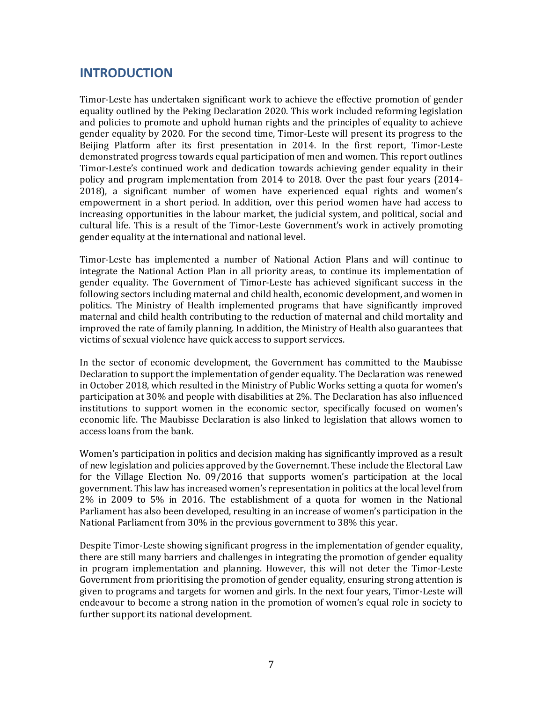# <span id="page-7-0"></span>**INTRODUCTION**

Timor-Leste has undertaken significant work to achieve the effective promotion of gender equality outlined by the Peking Declaration 2020. This work included reforming legislation and policies to promote and uphold human rights and the principles of equality to achieve gender equality by 2020. For the second time, Timor-Leste will present its progress to the Beijing Platform after its first presentation in 2014. In the first report, Timor-Leste demonstrated progress towards equal participation of men and women. This report outlines Timor-Leste's continued work and dedication towards achieving gender equality in their policy and program implementation from 2014 to 2018. Over the past four years (2014- 2018), a significant number of women have experienced equal rights and women's empowerment in a short period. In addition, over this period women have had access to increasing opportunities in the labour market, the judicial system, and political, social and cultural life. This is a result of the Timor-Leste Government's work in actively promoting gender equality at the international and national level.

Timor-Leste has implemented a number of National Action Plans and will continue to integrate the National Action Plan in all priority areas, to continue its implementation of gender equality. The Government of Timor-Leste has achieved significant success in the following sectors including maternal and child health, economic development, and women in politics. The Ministry of Health implemented programs that have significantly improved maternal and child health contributing to the reduction of maternal and child mortality and improved the rate of family planning. In addition, the Ministry of Health also guarantees that victims of sexual violence have quick access to support services.

In the sector of economic development, the Government has committed to the Maubisse Declaration to support the implementation of gender equality. The Declaration was renewed in October 2018, which resulted in the Ministry of Public Works setting a quota for women's participation at 30% and people with disabilities at 2%. The Declaration has also influenced institutions to support women in the economic sector, specifically focused on women's economic life. The Maubisse Declaration is also linked to legislation that allows women to access loans from the bank.

Women's participation in politics and decision making has significantly improved as a result of new legislation and policies approved by the Governemnt. These include the Electoral Law for the Village Election No. 09/2016 that supports women's participation at the local government. This law has increased women's representation in politics at the local level from 2% in 2009 to 5% in 2016. The establishment of a quota for women in the National Parliament has also been developed, resulting in an increase of women's participation in the National Parliament from 30% in the previous government to 38% this year.

Despite Timor-Leste showing significant progress in the implementation of gender equality, there are still many barriers and challenges in integrating the promotion of gender equality in program implementation and planning. However, this will not deter the Timor-Leste Government from prioritising the promotion of gender equality, ensuring strong attention is given to programs and targets for women and girls. In the next four years, Timor-Leste will endeavour to become a strong nation in the promotion of women's equal role in society to further support its national development.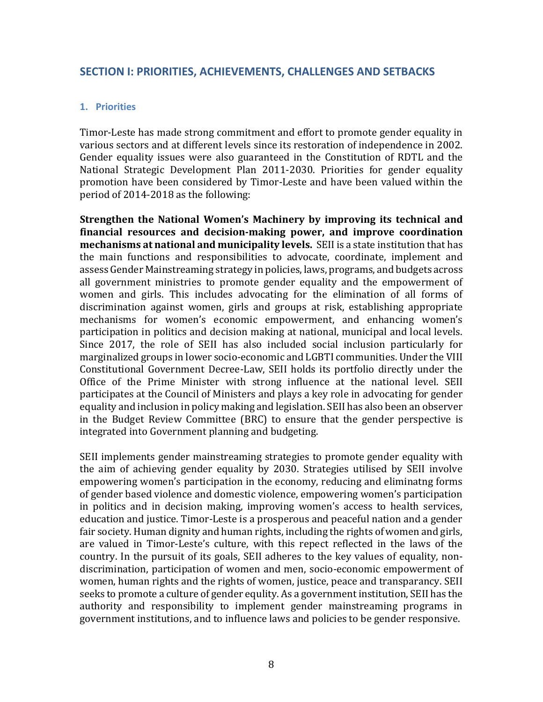# <span id="page-8-0"></span>**SECTION I: PRIORITIES, ACHIEVEMENTS, CHALLENGES AND SETBACKS**

# <span id="page-8-1"></span>**1. Priorities**

Timor-Leste has made strong commitment and effort to promote gender equality in various sectors and at different levels since its restoration of independence in 2002. Gender equality issues were also guaranteed in the Constitution of RDTL and the National Strategic Development Plan 2011-2030. Priorities for gender equality promotion have been considered by Timor-Leste and have been valued within the period of 2014-2018 as the following:

**Strengthen the National Women's Machinery by improving its technical and financial resources and decision-making power, and improve coordination mechanisms at national and municipality levels.** SEII is a state institution that has the main functions and responsibilities to advocate, coordinate, implement and assess Gender Mainstreaming strategy in policies, laws, programs, and budgets across all government ministries to promote gender equality and the empowerment of women and girls. This includes advocating for the elimination of all forms of discrimination against women, girls and groups at risk, establishing appropriate mechanisms for women's economic empowerment, and enhancing women's participation in politics and decision making at national, municipal and local levels. Since 2017, the role of SEII has also included social inclusion particularly for marginalized groups in lower socio-economic and LGBTI communities. Under the VIII Constitutional Government Decree-Law, SEII holds its portfolio directly under the Office of the Prime Minister with strong influence at the national level. SEII participates at the Council of Ministers and plays a key role in advocating for gender equality and inclusion in policy making and legislation. SEII has also been an observer in the Budget Review Committee (BRC) to ensure that the gender perspective is integrated into Government planning and budgeting.

SEII implements gender mainstreaming strategies to promote gender equality with the aim of achieving gender equality by 2030. Strategies utilised by SEII involve empowering women's participation in the economy, reducing and eliminatng forms of gender based violence and domestic violence, empowering women's participation in politics and in decision making, improving women's access to health services, education and justice. Timor-Leste is a prosperous and peaceful nation and a gender fair society. Human dignity and human rights, including the rights of women and girls, are valued in Timor-Leste's culture, with this repect reflected in the laws of the country. In the pursuit of its goals, SEII adheres to the key values of equality, nondiscrimination, participation of women and men, socio-economic empowerment of women, human rights and the rights of women, justice, peace and transparancy. SEII seeks to promote a culture of gender equlity. As a government institution, SEII has the authority and responsibility to implement gender mainstreaming programs in government institutions, and to influence laws and policies to be gender responsive.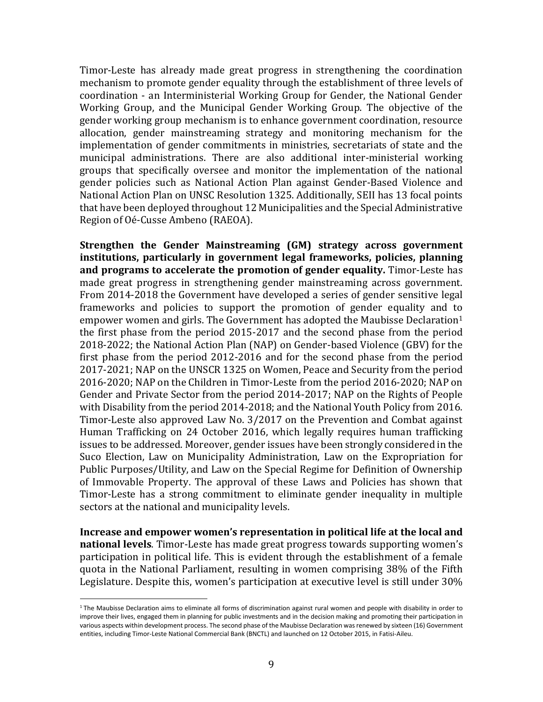Timor-Leste has already made great progress in strengthening the coordination mechanism to promote gender equality through the establishment of three levels of coordination - an Interministerial Working Group for Gender, the National Gender Working Group, and the Municipal Gender Working Group. The objective of the gender working group mechanism is to enhance government coordination, resource allocation, gender mainstreaming strategy and monitoring mechanism for the implementation of gender commitments in ministries, secretariats of state and the municipal administrations. There are also additional inter-ministerial working groups that specifically oversee and monitor the implementation of the national gender policies such as National Action Plan against Gender-Based Violence and National Action Plan on UNSC Resolution 1325. Additionally, SEII has 13 focal points that have been deployed throughout 12 Municipalities and the Special Administrative Region of Oé-Cusse Ambeno (RAEOA).

**Strengthen the Gender Mainstreaming (GM) strategy across government institutions, particularly in government legal frameworks, policies, planning and programs to accelerate the promotion of gender equality.** Timor-Leste has made great progress in strengthening gender mainstreaming across government. From 2014-2018 the Government have developed a series of gender sensitive legal frameworks and policies to support the promotion of gender equality and to empower women and girls. The Government has adopted the Maubisse Declaration<sup>1</sup> the first phase from the period 2015-2017 and the second phase from the period 2018-2022; the National Action Plan (NAP) on Gender-based Violence (GBV) for the first phase from the period 2012-2016 and for the second phase from the period 2017-2021; NAP on the UNSCR 1325 on Women, Peace and Security from the period 2016-2020; NAP on the Children in Timor-Leste from the period 2016-2020; NAP on Gender and Private Sector from the period 2014-2017; NAP on the Rights of People with Disability from the period 2014-2018; and the National Youth Policy from 2016. Timor-Leste also approved Law No. 3/2017 on the Prevention and Combat against Human Trafficking on 24 October 2016, which legally requires human trafficking issues to be addressed. Moreover, gender issues have been strongly considered in the Suco Election, Law on Municipality Administration, Law on the Expropriation for Public Purposes/Utility, and Law on the Special Regime for Definition of Ownership of Immovable Property. The approval of these Laws and Policies has shown that Timor-Leste has a strong commitment to eliminate gender inequality in multiple sectors at the national and municipality levels.

**Increase and empower women's representation in political life at the local and national levels**. Timor-Leste has made great progress towards supporting women's participation in political life. This is evident through the establishment of a female quota in the National Parliament, resulting in women comprising 38% of the Fifth Legislature. Despite this, women's participation at executive level is still under 30%

l

<sup>&</sup>lt;sup>1</sup> The Maubisse Declaration aims to eliminate all forms of discrimination against rural women and people with disability in order to improve their lives, engaged them in planning for public investments and in the decision making and promoting their participation in various aspects within development process. The second phase of the Maubisse Declaration was renewed by sixteen (16) Government entities, including Timor-Leste National Commercial Bank (BNCTL) and launched on 12 October 2015, in Fatisi-Aileu.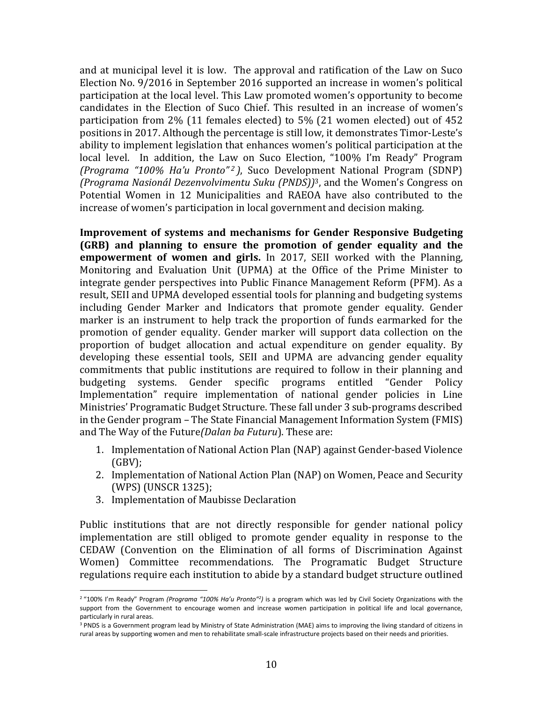and at municipal level it is low. The approval and ratification of the Law on Suco Election No. 9/2016 in September 2016 supported an increase in women's political participation at the local level. This Law promoted women's opportunity to become candidates in the Election of Suco Chief. This resulted in an increase of women's participation from 2% (11 females elected) to 5% (21 women elected) out of 452 positions in 2017. Although the percentage is still low, it demonstrates Timor-Leste's ability to implement legislation that enhances women's political participation at the local level. In addition, the Law on Suco Election, "100% I'm Ready" Program *(Programa "100% Ha'u Pronto" <sup>2</sup> )*, Suco Development National Program (SDNP) *(Programa Nasionál Dezenvolvimentu Suku (PNDS))*3, and the Women's Congress on Potential Women in 12 Municipalities and RAEOA have also contributed to the increase of women's participation in local government and decision making.

**Improvement of systems and mechanisms for Gender Responsive Budgeting (GRB) and planning to ensure the promotion of gender equality and the empowerment of women and girls.** In 2017, SEII worked with the Planning, Monitoring and Evaluation Unit (UPMA) at the Office of the Prime Minister to integrate gender perspectives into Public Finance Management Reform (PFM). As a result, SEII and UPMA developed essential tools for planning and budgeting systems including Gender Marker and Indicators that promote gender equality. Gender marker is an instrument to help track the proportion of funds earmarked for the promotion of gender equality. Gender marker will support data collection on the proportion of budget allocation and actual expenditure on gender equality. By developing these essential tools, SEII and UPMA are advancing gender equality commitments that public institutions are required to follow in their planning and budgeting systems. Gender specific programs entitled "Gender Policy Implementation" require implementation of national gender policies in Line Ministries' Programatic Budget Structure. These fall under 3 sub-programs described in the Gender program – The State Financial Management Information System (FMIS) and The Way of the Future*(Dalan ba Futuru*). These are:

- 1. Implementation of National Action Plan (NAP) against Gender-based Violence (GBV);
- 2. Implementation of National Action Plan (NAP) on Women, Peace and Security (WPS) (UNSCR 1325);
- 3. Implementation of Maubisse Declaration

 $\overline{a}$ 

Public institutions that are not directly responsible for gender national policy implementation are still obliged to promote gender equality in response to the CEDAW (Convention on the Elimination of all forms of Discrimination Against Women) Committee recommendations*.* The Programatic Budget Structure regulations require each institution to abide by a standard budget structure outlined

<sup>&</sup>lt;sup>2</sup> "100% I'm Ready" Program *(Programa "100% Ha'u Pronto"<sup>2</sup>)* is a program which was led by Civil Society Organizations with the support from the Government to encourage women and increase women participation in political life and local governance, particularly in rural areas.

<sup>&</sup>lt;sup>3</sup> PNDS is a Government program lead by Ministry of State Administration (MAE) aims to improving the living standard of citizens in rural areas by supporting women and men to rehabilitate small-scale infrastructure projects based on their needs and priorities.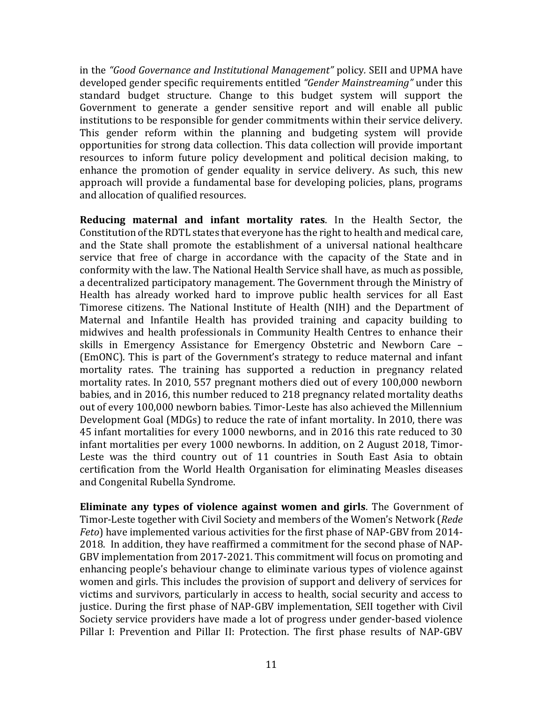in the *"Good Governance and Institutional Management"* policy*.* SEII and UPMA have developed gender specific requirements entitled *"Gender Mainstreaming"* under this standard budget structure. Change to this budget system will support the Government to generate a gender sensitive report and will enable all public institutions to be responsible for gender commitments within their service delivery. This gender reform within the planning and budgeting system will provide opportunities for strong data collection. This data collection will provide important resources to inform future policy development and political decision making, to enhance the promotion of gender equality in service delivery. As such, this new approach will provide a fundamental base for developing policies, plans, programs and allocation of qualified resources.

**Reducing maternal and infant mortality rates**. In the Health Sector, the Constitution of the RDTL states that everyone has the right to health and medical care, and the State shall promote the establishment of a universal national healthcare service that free of charge in accordance with the capacity of the State and in conformity with the law. The National Health Service shall have, as much as possible, a decentralized participatory management. The Government through the Ministry of Health has already worked hard to improve public health services for all East Timorese citizens. The National Institute of Health (NIH) and the Department of Maternal and Infantile Health has provided training and capacity building to midwives and health professionals in Community Health Centres to enhance their skills in Emergency Assistance for Emergency Obstetric and Newborn Care – (EmONC). This is part of the Government's strategy to reduce maternal and infant mortality rates. The training has supported a reduction in pregnancy related mortality rates. In 2010, 557 pregnant mothers died out of every 100,000 newborn babies, and in 2016, this number reduced to 218 pregnancy related mortality deaths out of every 100,000 newborn babies. Timor-Leste has also achieved the Millennium Development Goal (MDGs) to reduce the rate of infant mortality. In 2010, there was 45 infant mortalities for every 1000 newborns, and in 2016 this rate reduced to 30 infant mortalities per every 1000 newborns. In addition, on 2 August 2018, Timor-Leste was the third country out of 11 countries in South East Asia to obtain certification from the World Health Organisation for eliminating Measles diseases and Congenital Rubella Syndrome.

**Eliminate any types of violence against women and girls**. The Government of Timor-Leste together with Civil Society and members of the Women's Network (*Rede Feto*) have implemented various activities for the first phase of NAP-GBV from 2014- 2018. In addition, they have reaffirmed a commitment for the second phase of NAP-GBV implementation from 2017-2021. This commitment will focus on promoting and enhancing people's behaviour change to eliminate various types of violence against women and girls. This includes the provision of support and delivery of services for victims and survivors, particularly in access to health, social security and access to justice. During the first phase of NAP-GBV implementation, SEII together with Civil Society service providers have made a lot of progress under gender-based violence Pillar I: Prevention and Pillar II: Protection. The first phase results of NAP-GBV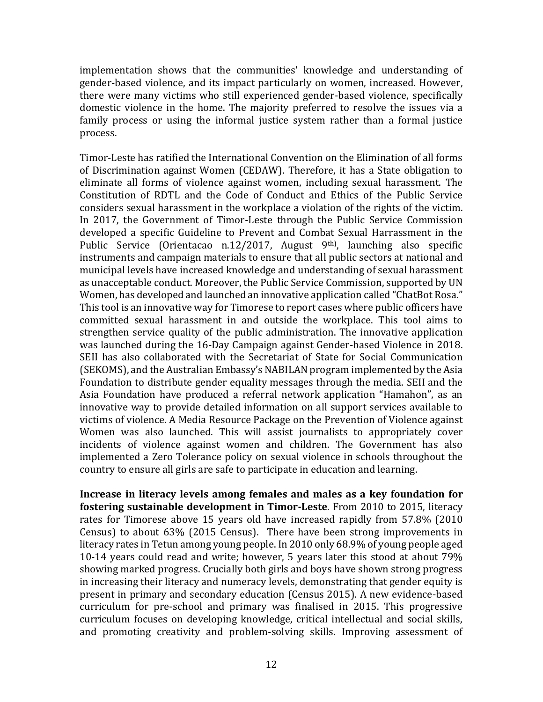implementation shows that the communities' knowledge and understanding of gender-based violence, and its impact particularly on women, increased. However, there were many victims who still experienced gender-based violence, specifically domestic violence in the home. The majority preferred to resolve the issues via a family process or using the informal justice system rather than a formal justice process.

Timor-Leste has ratified the International Convention on the Elimination of all forms of Discrimination against Women (CEDAW). Therefore, it has a State obligation to eliminate all forms of violence against women, including sexual harassment. The Constitution of RDTL and the Code of Conduct and Ethics of the Public Service considers sexual harassment in the workplace a violation of the rights of the victim. In 2017, the Government of Timor-Leste through the Public Service Commission developed a specific Guideline to Prevent and Combat Sexual Harrassment in the Public Service (Orientacao n.12/2017, August 9<sup>th)</sup>, launching also specific instruments and campaign materials to ensure that all public sectors at national and municipal levels have increased knowledge and understanding of sexual harassment as unacceptable conduct. Moreover, the Public Service Commission, supported by UN Women, has developed and launched an innovative application called "ChatBot Rosa." This tool is an innovative way for Timorese to report cases where public officers have committed sexual harassment in and outside the workplace. This tool aims to strengthen service quality of the public administration. The innovative application was launched during the 16-Day Campaign against Gender-based Violence in 2018. SEII has also collaborated with the Secretariat of State for Social Communication (SEKOMS), and the Australian Embassy's NABILAN program implemented by the Asia Foundation to distribute gender equality messages through the media. SEII and the Asia Foundation have produced a referral network application "Hamahon", as an innovative way to provide detailed information on all support services available to victims of violence. A Media Resource Package on the Prevention of Violence against Women was also launched. This will assist journalists to appropriately cover incidents of violence against women and children. The Government has also implemented a Zero Tolerance policy on sexual violence in schools throughout the country to ensure all girls are safe to participate in education and learning.

**Increase in literacy levels among females and males as a key foundation for fostering sustainable development in Timor-Leste**. From 2010 to 2015, literacy rates for Timorese above 15 years old have increased rapidly from 57.8% (2010 Census) to about 63% (2015 Census). There have been strong improvements in literacy rates in Tetun among young people. In 2010 only 68.9% of young people aged 10-14 years could read and write; however, 5 years later this stood at about 79% showing marked progress. Crucially both girls and boys have shown strong progress in increasing their literacy and numeracy levels, demonstrating that gender equity is present in primary and secondary education (Census 2015). A new evidence-based curriculum for pre-school and primary was finalised in 2015. This progressive curriculum focuses on developing knowledge, critical intellectual and social skills, and promoting creativity and problem-solving skills. Improving assessment of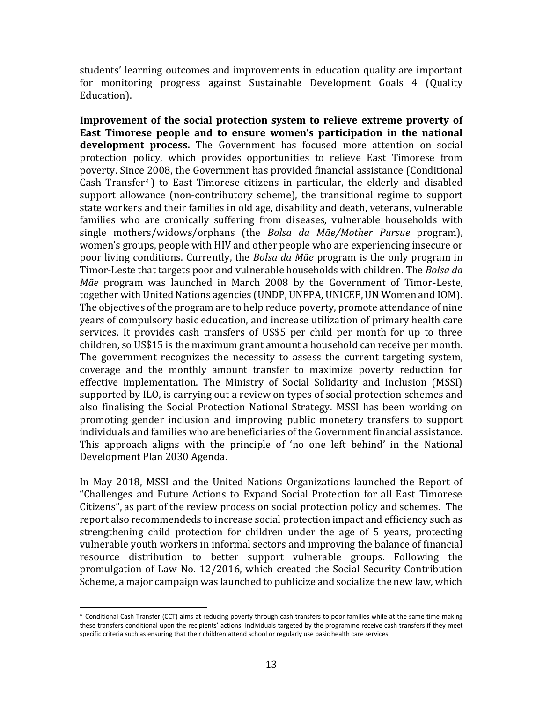students' learning outcomes and improvements in education quality are important for monitoring progress against Sustainable Development Goals 4 (Quality Education).

**Improvement of the social protection system to relieve extreme proverty of East Timorese people and to ensure women's participation in the national development process.** The Government has focused more attention on social protection policy, which provides opportunities to relieve East Timorese from poverty. Since 2008, the Government has provided financial assistance (Conditional Cash Transfer<sup>4</sup>) to East Timorese citizens in particular, the elderly and disabled support allowance (non-contributory scheme), the transitional regime to support state workers and their families in old age, disability and death, veterans, vulnerable families who are cronically suffering from diseases, vulnerable households with single mothers/widows/orphans (the *Bolsa da Mãe/Mother Pursue* program), women's groups, people with HIV and other people who are experiencing insecure or poor living conditions. Currently, the *Bolsa da Mãe* program is the only program in Timor-Leste that targets poor and vulnerable households with children. The *Bolsa da Mãe* program was launched in March 2008 by the Government of Timor-Leste, together with United Nations agencies (UNDP, UNFPA, UNICEF, UN Women and IOM). The objectives of the program are to help reduce poverty, promote attendance of nine years of compulsory basic education, and increase utilization of primary health care services. It provides cash transfers of US\$5 per child per month for up to three children, so US\$15 is the maximum grant amount a household can receive per month. The government recognizes the necessity to assess the current targeting system, coverage and the monthly amount transfer to maximize poverty reduction for effective implementation. The Ministry of Social Solidarity and Inclusion (MSSI) supported by ILO, is carrying out a review on types of social protection schemes and also finalising the Social Protection National Strategy. MSSI has been working on promoting gender inclusion and improving public monetery transfers to support individuals and families who are beneficiaries of the Government financial assistance. This approach aligns with the principle of 'no one left behind' in the National Development Plan 2030 Agenda.

In May 2018, MSSI and the United Nations Organizations launched the Report of "Challenges and Future Actions to Expand Social Protection for all East Timorese Citizens", as part of the review process on social protection policy and schemes. The report also recommendeds to increase social protection impact and efficiency such as strengthening child protection for children under the age of 5 years, protecting vulnerable youth workers in informal sectors and improving the balance of financial resource distribution to better support vulnerable groups. Following the promulgation of Law No. 12/2016, which created the Social Security Contribution Scheme, a major campaign was launched to publicize and socialize the new law, which

 $\overline{a}$ 

<sup>4</sup> Conditional Cash Transfer (CCT) aims at reducing poverty through cash transfers to poor families while at the same time making these transfers conditional upon the recipients' actions. Individuals targeted by the programme receive cash transfers if they meet specific criteria such as ensuring that their children attend school or regularly use basic health care services.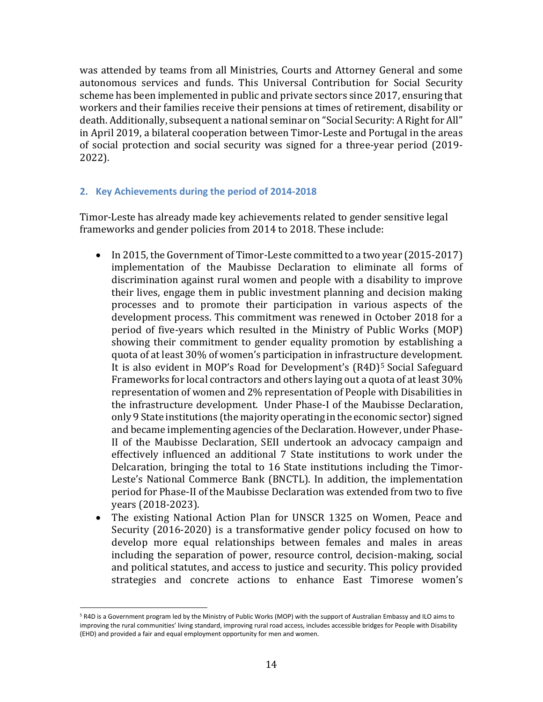was attended by teams from all Ministries, Courts and Attorney General and some autonomous services and funds. This Universal Contribution for Social Security scheme has been implemented in public and private sectors since 2017, ensuring that workers and their families receive their pensions at times of retirement, disability or death. Additionally, subsequent a national seminar on "Social Security: A Right for All" in April 2019, a bilateral cooperation between Timor-Leste and Portugal in the areas of social protection and social security was signed for a three-year period (2019- 2022).

# <span id="page-14-0"></span>**2. Key Achievements during the period of 2014-2018**

Timor-Leste has already made key achievements related to gender sensitive legal frameworks and gender policies from 2014 to 2018. These include:

- In 2015, the Government of Timor-Leste committed to a two year (2015-2017) implementation of the Maubisse Declaration to eliminate all forms of discrimination against rural women and people with a disability to improve their lives, engage them in public investment planning and decision making processes and to promote their participation in various aspects of the development process. This commitment was renewed in October 2018 for a period of five-years which resulted in the Ministry of Public Works (MOP) showing their commitment to gender equality promotion by establishing a quota of at least 30% of women's participation in infrastructure development. It is also evident in MOP's Road for Development's (R4D) <sup>5</sup> Social Safeguard Frameworks for local contractors and others laying out a quota of at least 30% representation of women and 2% representation of People with Disabilities in the infrastructure development. Under Phase-I of the Maubisse Declaration, only 9 State institutions (the majority operating in the economic sector) signed and became implementing agencies of the Declaration. However, under Phase-II of the Maubisse Declaration, SEII undertook an advocacy campaign and effectively influenced an additional 7 State institutions to work under the Delcaration, bringing the total to 16 State institutions including the Timor-Leste's National Commerce Bank (BNCTL). In addition, the implementation period for Phase-II of the Maubisse Declaration was extended from two to five years (2018-2023).
- The existing National Action Plan for UNSCR 1325 on Women, Peace and Security (2016-2020) is a transformative gender policy focused on how to develop more equal relationships between females and males in areas including the separation of power, resource control, decision-making, social and political statutes, and access to justice and security. This policy provided strategies and concrete actions to enhance East Timorese women's

 $\overline{a}$ 

<sup>5</sup> R4D is a Government program led by the Ministry of Public Works (MOP) with the support of Australian Embassy and ILO aims to improving the rural communities' living standard, improving rural road access, includes accessible bridges for People with Disability (EHD) and provided a fair and equal employment opportunity for men and women.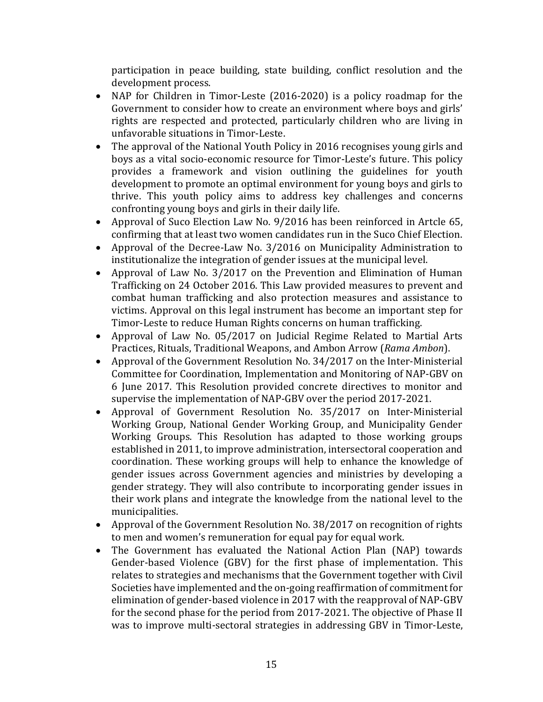participation in peace building, state building, conflict resolution and the development process.

- NAP for Children in Timor-Leste (2016-2020) is a policy roadmap for the Government to consider how to create an environment where boys and girls' rights are respected and protected, particularly children who are living in unfavorable situations in Timor-Leste.
- The approval of the National Youth Policy in 2016 recognises young girls and boys as a vital socio-economic resource for Timor-Leste's future. This policy provides a framework and vision outlining the guidelines for youth development to promote an optimal environment for young boys and girls to thrive. This youth policy aims to address key challenges and concerns confronting young boys and girls in their daily life.
- Approval of Suco Election Law No. 9/2016 has been reinforced in Artcle 65, confirming that at least two women candidates run in the Suco Chief Election.
- Approval of the Decree-Law No. 3/2016 on Municipality Administration to institutionalize the integration of gender issues at the municipal level.
- Approval of Law No. 3/2017 on the Prevention and Elimination of Human Trafficking on 24 October 2016. This Law provided measures to prevent and combat human trafficking and also protection measures and assistance to victims. Approval on this legal instrument has become an important step for Timor-Leste to reduce Human Rights concerns on human trafficking.
- Approval of Law No. 05/2017 on Judicial Regime Related to Martial Arts Practices, Rituals, Traditional Weapons, and Ambon Arrow (*Rama Ambon*).
- Approval of the Government Resolution No. 34/2017 on the Inter-Ministerial Committee for Coordination, Implementation and Monitoring of NAP-GBV on 6 June 2017. This Resolution provided concrete directives to monitor and supervise the implementation of NAP-GBV over the period 2017-2021.
- Approval of Government Resolution No. 35/2017 on Inter-Ministerial Working Group, National Gender Working Group, and Municipality Gender Working Groups. This Resolution has adapted to those working groups established in 2011, to improve administration, intersectoral cooperation and coordination. These working groups will help to enhance the knowledge of gender issues across Government agencies and ministries by developing a gender strategy. They will also contribute to incorporating gender issues in their work plans and integrate the knowledge from the national level to the municipalities.
- Approval of the Government Resolution No. 38/2017 on recognition of rights to men and women's remuneration for equal pay for equal work.
- The Government has evaluated the National Action Plan (NAP) towards Gender-based Violence (GBV) for the first phase of implementation. This relates to strategies and mechanisms that the Government together with Civil Societies have implemented and the on-going reaffirmation of commitment for elimination of gender-based violence in 2017 with the reapproval of NAP-GBV for the second phase for the period from 2017-2021. The objective of Phase II was to improve multi-sectoral strategies in addressing GBV in Timor-Leste,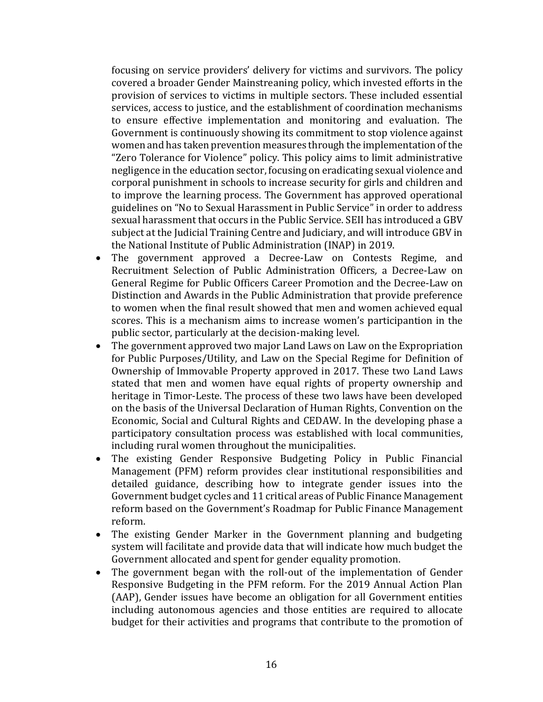focusing on service providers' delivery for victims and survivors. The policy covered a broader Gender Mainstreaning policy, which invested efforts in the provision of services to victims in multiple sectors. These included essential services, access to justice, and the establishment of coordination mechanisms to ensure effective implementation and monitoring and evaluation. The Government is continuously showing its commitment to stop violence against women and has taken prevention measures through the implementation of the "Zero Tolerance for Violence" policy. This policy aims to limit administrative negligence in the education sector, focusing on eradicating sexual violence and corporal punishment in schools to increase security for girls and children and to improve the learning process. The Government has approved operational guidelines on "No to Sexual Harassment in Public Service" in order to address sexual harassment that occurs in the Public Service. SEII has introduced a GBV subject at the Judicial Training Centre and Judiciary, and will introduce GBV in the National Institute of Public Administration (INAP) in 2019.

- The government approved a Decree-Law on Contests Regime, and Recruitment Selection of Public Administration Officers*,* a Decree-Law on General Regime for Public Officers Career Promotion and the Decree-Law on Distinction and Awards in the Public Administration that provide preference to women when the final result showed that men and women achieved equal scores. This is a mechanism aims to increase women's participantion in the public sector, particularly at the decision-making level.
- The government approved two major Land Laws on Law on the Expropriation for Public Purposes/Utility, and Law on the Special Regime for Definition of Ownership of Immovable Property approved in 2017. These two Land Laws stated that men and women have equal rights of property ownership and heritage in Timor-Leste. The process of these two laws have been developed on the basis of the Universal Declaration of Human Rights, Convention on the Economic, Social and Cultural Rights and CEDAW. In the developing phase a participatory consultation process was established with local communities, including rural women throughout the municipalities.
- The existing Gender Responsive Budgeting Policy in Public Financial Management (PFM) reform provides clear institutional responsibilities and detailed guidance, describing how to integrate gender issues into the Government budget cycles and 11 critical areas of Public Finance Management reform based on the Government's Roadmap for Public Finance Management reform.
- The existing Gender Marker in the Government planning and budgeting system will facilitate and provide data that will indicate how much budget the Government allocated and spent for gender equality promotion.
- The government began with the roll-out of the implementation of Gender Responsive Budgeting in the PFM reform. For the 2019 Annual Action Plan (AAP), Gender issues have become an obligation for all Government entities including autonomous agencies and those entities are required to allocate budget for their activities and programs that contribute to the promotion of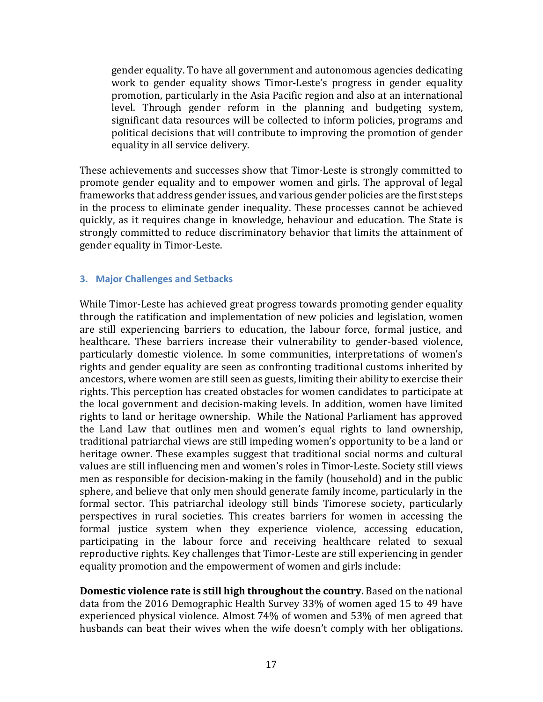gender equality. To have all government and autonomous agencies dedicating work to gender equality shows Timor-Leste's progress in gender equality promotion, particularly in the Asia Pacific region and also at an international level. Through gender reform in the planning and budgeting system, significant data resources will be collected to inform policies, programs and political decisions that will contribute to improving the promotion of gender equality in all service delivery.

These achievements and successes show that Timor-Leste is strongly committed to promote gender equality and to empower women and girls. The approval of legal frameworks that address gender issues, and various gender policies are the first steps in the process to eliminate gender inequality. These processes cannot be achieved quickly, as it requires change in knowledge, behaviour and education. The State is strongly committed to reduce discriminatory behavior that limits the attainment of gender equality in Timor-Leste.

# <span id="page-17-0"></span>**3. Major Challenges and Setbacks**

While Timor-Leste has achieved great progress towards promoting gender equality through the ratification and implementation of new policies and legislation, women are still experiencing barriers to education, the labour force, formal justice, and healthcare. These barriers increase their vulnerability to gender-based violence, particularly domestic violence. In some communities, interpretations of women's rights and gender equality are seen as confronting traditional customs inherited by ancestors, where women are still seen as guests, limiting their ability to exercise their rights. This perception has created obstacles for women candidates to participate at the local government and decision-making levels. In addition, women have limited rights to land or heritage ownership. While the National Parliament has approved the Land Law that outlines men and women's equal rights to land ownership, traditional patriarchal views are still impeding women's opportunity to be a land or heritage owner. These examples suggest that traditional social norms and cultural values are still influencing men and women's roles in Timor-Leste. Society still views men as responsible for decision-making in the family (household) and in the public sphere, and believe that only men should generate family income, particularly in the formal sector. This patriarchal ideology still binds Timorese society, particularly perspectives in rural societies. This creates barriers for women in accessing the formal justice system when they experience violence, accessing education, participating in the labour force and receiving healthcare related to sexual reproductive rights. Key challenges that Timor-Leste are still experiencing in gender equality promotion and the empowerment of women and girls include:

**Domestic violence rate is still high throughout the country.** Based on the national data from the 2016 Demographic Health Survey 33% of women aged 15 to 49 have experienced physical violence. Almost 74% of women and 53% of men agreed that husbands can beat their wives when the wife doesn't comply with her obligations.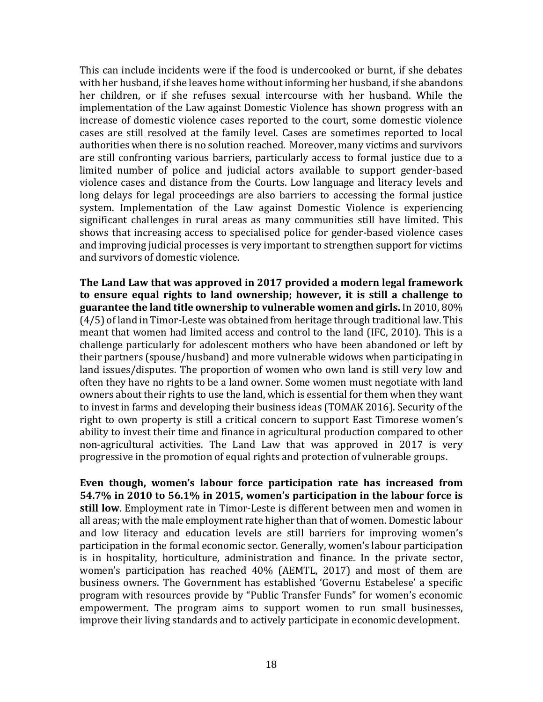This can include incidents were if the food is undercooked or burnt, if she debates with her husband, if she leaves home without informing her husband, if she abandons her children, or if she refuses sexual intercourse with her husband. While the implementation of the Law against Domestic Violence has shown progress with an increase of domestic violence cases reported to the court, some domestic violence cases are still resolved at the family level. Cases are sometimes reported to local authorities when there is no solution reached. Moreover, many victims and survivors are still confronting various barriers, particularly access to formal justice due to a limited number of police and judicial actors available to support gender-based violence cases and distance from the Courts. Low language and literacy levels and long delays for legal proceedings are also barriers to accessing the formal justice system. Implementation of the Law against Domestic Violence is experiencing significant challenges in rural areas as many communities still have limited. This shows that increasing access to specialised police for gender-based violence cases and improving judicial processes is very important to strengthen support for victims and survivors of domestic violence.

**The Land Law that was approved in 2017 provided a modern legal framework to ensure equal rights to land ownership; however, it is still a challenge to guarantee the land title ownership to vulnerable women and girls.** In 2010, 80% (4/5) of land in Timor-Leste was obtained from heritage through traditional law. This meant that women had limited access and control to the land (IFC, 2010). This is a challenge particularly for adolescent mothers who have been abandoned or left by their partners (spouse/husband) and more vulnerable widows when participating in land issues/disputes. The proportion of women who own land is still very low and often they have no rights to be a land owner. Some women must negotiate with land owners about their rights to use the land, which is essential for them when they want to invest in farms and developing their business ideas (TOMAK 2016). Security of the right to own property is still a critical concern to support East Timorese women's ability to invest their time and finance in agricultural production compared to other non-agricultural activities. The Land Law that was approved in 2017 is very progressive in the promotion of equal rights and protection of vulnerable groups.

**Even though, women's labour force participation rate has increased from 54.7% in 2010 to 56.1% in 2015, women's participation in the labour force is still low**. Employment rate in Timor-Leste is different between men and women in all areas; with the male employment rate higher than that of women. Domestic labour and low literacy and education levels are still barriers for improving women's participation in the formal economic sector. Generally, women's labour participation is in hospitality, horticulture, administration and finance. In the private sector, women's participation has reached 40% (AEMTL, 2017) and most of them are business owners. The Government has established 'Governu Estabelese' a specific program with resources provide by "Public Transfer Funds" for women's economic empowerment. The program aims to support women to run small businesses, improve their living standards and to actively participate in economic development.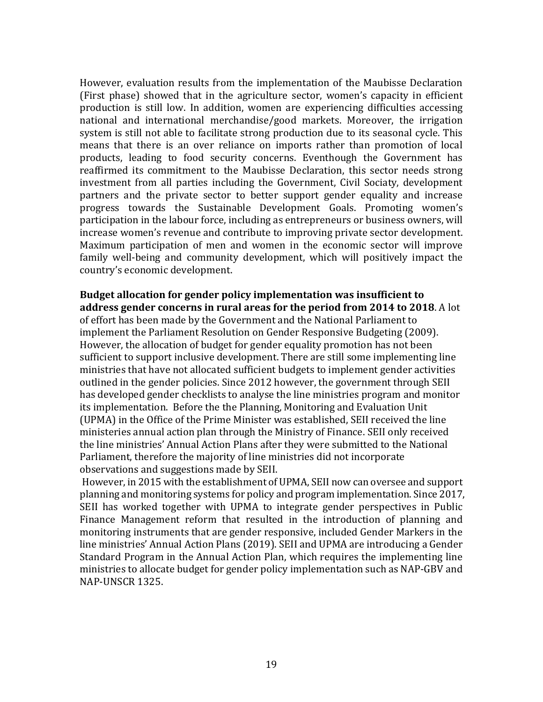However, evaluation results from the implementation of the Maubisse Declaration (First phase) showed that in the agriculture sector, women's capacity in efficient production is still low. In addition, women are experiencing difficulties accessing national and international merchandise/good markets. Moreover, the irrigation system is still not able to facilitate strong production due to its seasonal cycle. This means that there is an over reliance on imports rather than promotion of local products, leading to food security concerns. Eventhough the Government has reaffirmed its commitment to the Maubisse Declaration, this sector needs strong investment from all parties including the Government, Civil Sociaty, development partners and the private sector to better support gender equality and increase progress towards the Sustainable Development Goals. Promoting women's participation in the labour force, including as entrepreneurs or business owners, will increase women's revenue and contribute to improving private sector development. Maximum participation of men and women in the economic sector will improve family well-being and community development, which will positively impact the country's economic development.

**Budget allocation for gender policy implementation was insufficient to address gender concerns in rural areas for the period from 2014 to 2018**. A lot of effort has been made by the Government and the National Parliament to implement the Parliament Resolution on Gender Responsive Budgeting (2009). However, the allocation of budget for gender equality promotion has not been sufficient to support inclusive development. There are still some implementing line ministries that have not allocated sufficient budgets to implement gender activities outlined in the gender policies. Since 2012 however, the government through SEII has developed gender checklists to analyse the line ministries program and monitor its implementation. Before the the Planning, Monitoring and Evaluation Unit (UPMA) in the Office of the Prime Minister was established, SEII received the line ministeries annual action plan through the Ministry of Finance. SEII only received the line ministries' Annual Action Plans after they were submitted to the National Parliament, therefore the majority of line ministries did not incorporate observations and suggestions made by SEII.

However, in 2015 with the establishment of UPMA, SEII now can oversee and support planning and monitoring systems for policy and program implementation. Since 2017, SEII has worked together with UPMA to integrate gender perspectives in Public Finance Management reform that resulted in the introduction of planning and monitoring instruments that are gender responsive, included Gender Markers in the line ministries' Annual Action Plans (2019). SEII and UPMA are introducing a Gender Standard Program in the Annual Action Plan, which requires the implementing line ministries to allocate budget for gender policy implementation such as NAP-GBV and NAP-UNSCR 1325.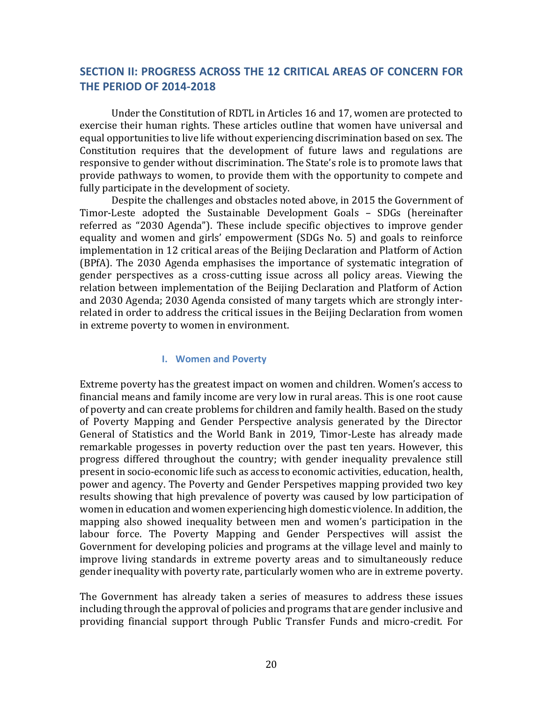# <span id="page-20-0"></span>**SECTION II: PROGRESS ACROSS THE 12 CRITICAL AREAS OF CONCERN FOR THE PERIOD OF 2014-2018**

Under the Constitution of RDTL in Articles 16 and 17, women are protected to exercise their human rights. These articles outline that women have universal and equal opportunities to live life without experiencing discrimination based on sex. The Constitution requires that the development of future laws and regulations are responsive to gender without discrimination. The State's role is to promote laws that provide pathways to women, to provide them with the opportunity to compete and fully participate in the development of society.

Despite the challenges and obstacles noted above, in 2015 the Government of Timor-Leste adopted the Sustainable Development Goals – SDGs (hereinafter referred as "2030 Agenda"). These include specific objectives to improve gender equality and women and girls' empowerment (SDGs No. 5) and goals to reinforce implementation in 12 critical areas of the Beijing Declaration and Platform of Action (BPfA). The 2030 Agenda emphasises the importance of systematic integration of gender perspectives as a cross-cutting issue across all policy areas. Viewing the relation between implementation of the Beijing Declaration and Platform of Action and 2030 Agenda; 2030 Agenda consisted of many targets which are strongly interrelated in order to address the critical issues in the Beijing Declaration from women in extreme poverty to women in environment.

#### **I. Women and Poverty**

<span id="page-20-1"></span>Extreme poverty has the greatest impact on women and children. Women's access to financial means and family income are very low in rural areas. This is one root cause of poverty and can create problems for children and family health. Based on the study of Poverty Mapping and Gender Perspective analysis generated by the Director General of Statistics and the World Bank in 2019, Timor-Leste has already made remarkable progesses in poverty reduction over the past ten years. However, this progress differed throughout the country; with gender inequality prevalence still present in socio-economic life such as access to economic activities, education, health, power and agency. The Poverty and Gender Perspetives mapping provided two key results showing that high prevalence of poverty was caused by low participation of women in education and women experiencing high domestic violence. In addition, the mapping also showed inequality between men and women's participation in the labour force. The Poverty Mapping and Gender Perspectives will assist the Government for developing policies and programs at the village level and mainly to improve living standards in extreme poverty areas and to simultaneously reduce gender inequality with poverty rate, particularly women who are in extreme poverty.

The Government has already taken a series of measures to address these issues including through the approval of policies and programs that are gender inclusive and providing financial support through Public Transfer Funds and micro-credit. For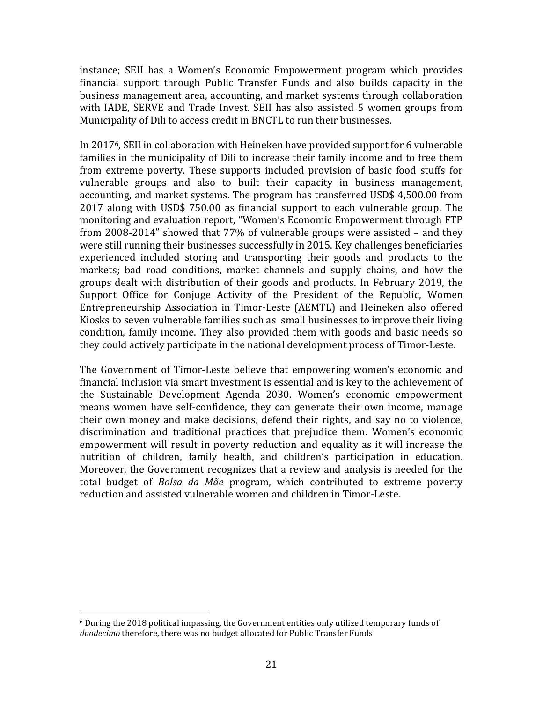instance; SEII has a Women's Economic Empowerment program which provides financial support through Public Transfer Funds and also builds capacity in the business management area, accounting, and market systems through collaboration with IADE, SERVE and Trade Invest. SEII has also assisted 5 women groups from Municipality of Dili to access credit in BNCTL to run their businesses.

In 20176, SEII in collaboration with Heineken have provided support for 6 vulnerable families in the municipality of Dili to increase their family income and to free them from extreme poverty. These supports included provision of basic food stuffs for vulnerable groups and also to built their capacity in business management, accounting, and market systems. The program has transferred USD\$ 4,500.00 from 2017 along with USD\$ 750.00 as financial support to each vulnerable group. The monitoring and evaluation report, "Women's Economic Empowerment through FTP from 2008-2014" showed that 77% of vulnerable groups were assisted – and they were still running their businesses successfully in 2015. Key challenges beneficiaries experienced included storing and transporting their goods and products to the markets; bad road conditions, market channels and supply chains, and how the groups dealt with distribution of their goods and products. In February 2019, the Support Office for Conjuge Activity of the President of the Republic, Women Entrepreneurship Association in Timor-Leste (AEMTL) and Heineken also offered Kiosks to seven vulnerable families such as small businesses to improve their living condition, family income. They also provided them with goods and basic needs so they could actively participate in the national development process of Timor-Leste.

The Government of Timor-Leste believe that empowering women's economic and financial inclusion via smart investment is essential and is key to the achievement of the Sustainable Development Agenda 2030. Women's economic empowerment means women have self-confidence, they can generate their own income, manage their own money and make decisions, defend their rights, and say no to violence, discrimination and traditional practices that prejudice them. Women's economic empowerment will result in poverty reduction and equality as it will increase the nutrition of children, family health, and children's participation in education. Moreover, the Government recognizes that a review and analysis is needed for the total budget of *Bolsa da Mãe* program, which contributed to extreme poverty reduction and assisted vulnerable women and children in Timor-Leste.

 $\overline{a}$  $6$  During the 2018 political impassing, the Government entities only utilized temporary funds of *duodecimo* therefore, there was no budget allocated for Public Transfer Funds.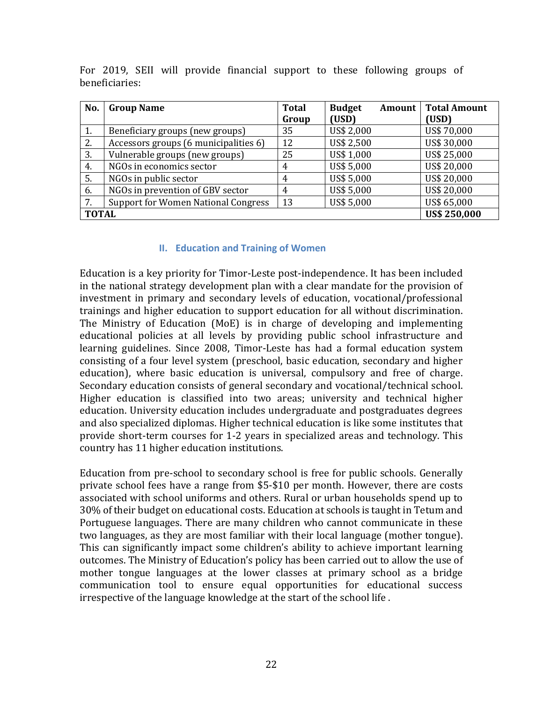| No.                                 | <b>Group Name</b>                          | <b>Total</b> | <b>Budget</b><br>Amount | <b>Total Amount</b> |  |  |
|-------------------------------------|--------------------------------------------|--------------|-------------------------|---------------------|--|--|
|                                     |                                            | Group        | (USD)                   | (USD)               |  |  |
| 1.                                  | Beneficiary groups (new groups)            | 35           | US\$ 2,000              | US\$ 70,000         |  |  |
| 2.                                  | Accessors groups (6 municipalities 6)      | 12           | US\$ 2,500              | US\$ 30,000         |  |  |
| 3.                                  | Vulnerable groups (new groups)             | 25           | US\$ 1,000              | US\$ 25,000         |  |  |
| 4.                                  | NGOs in economics sector                   | 4            | US\$ 5,000              | US\$ 20,000         |  |  |
| 5.                                  | NGOs in public sector                      | 4            | US\$ 5,000              | US\$ 20,000         |  |  |
| 6.                                  | NGOs in prevention of GBV sector           | 4            | US\$ 5,000              | US\$ 20,000         |  |  |
| 7.                                  | <b>Support for Women National Congress</b> | 13           | US\$ 5,000              | US\$ 65,000         |  |  |
| <b>US\$ 250,000</b><br><b>TOTAL</b> |                                            |              |                         |                     |  |  |

For 2019, SEII will provide financial support to these following groups of beneficiaries:

#### **II. Education and Training of Women**

<span id="page-22-0"></span>Education is a key priority for Timor-Leste post-independence. It has been included in the national strategy development plan with a clear mandate for the provision of investment in primary and secondary levels of education, vocational/professional trainings and higher education to support education for all without discrimination. The Ministry of Education (MoE) is in charge of developing and implementing educational policies at all levels by providing public school infrastructure and learning guidelines. Since 2008, Timor-Leste has had a formal education system consisting of a four level system (preschool, basic education, secondary and higher education), where basic education is universal, compulsory and free of charge. Secondary education consists of general secondary and vocational/technical school. Higher education is classified into two areas; university and technical higher education. University education includes undergraduate and postgraduates degrees and also specialized diplomas. Higher technical education is like some institutes that provide short-term courses for 1-2 years in specialized areas and technology. This country has 11 higher education institutions.

Education from pre-school to secondary school is free for public schools. Generally private school fees have a range from \$5-\$10 per month. However, there are costs associated with school uniforms and others. Rural or urban households spend up to 30% of their budget on educational costs. Education at schools is taught in Tetum and Portuguese languages. There are many children who cannot communicate in these two languages, as they are most familiar with their local language (mother tongue). This can significantly impact some children's ability to achieve important learning outcomes. The Ministry of Education's policy has been carried out to allow the use of mother tongue languages at the lower classes at primary school as a bridge communication tool to ensure equal opportunities for educational success irrespective of the language knowledge at the start of the school life .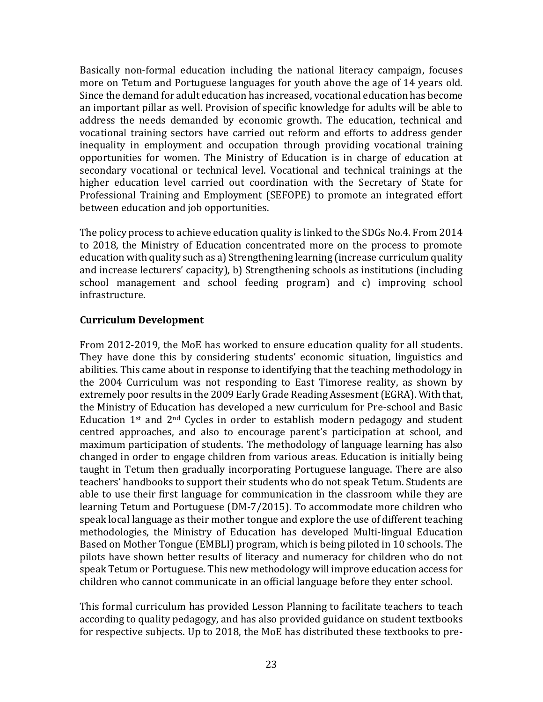Basically non-formal education including the national literacy campaign, focuses more on Tetum and Portuguese languages for youth above the age of 14 years old. Since the demand for adult education has increased, vocational education has become an important pillar as well. Provision of specific knowledge for adults will be able to address the needs demanded by economic growth. The education, technical and vocational training sectors have carried out reform and efforts to address gender inequality in employment and occupation through providing vocational training opportunities for women. The Ministry of Education is in charge of education at secondary vocational or technical level. Vocational and technical trainings at the higher education level carried out coordination with the Secretary of State for Professional Training and Employment (SEFOPE) to promote an integrated effort between education and job opportunities.

The policy process to achieve education quality is linked to the SDGs No.4. From 2014 to 2018, the Ministry of Education concentrated more on the process to promote education with quality such as a) Strengthening learning (increase curriculum quality and increase lecturers' capacity), b) Strengthening schools as institutions (including school management and school feeding program) and c) improving school infrastructure.

# **Curriculum Development**

From 2012-2019, the MoE has worked to ensure education quality for all students. They have done this by considering students' economic situation, linguistics and abilities. This came about in response to identifying that the teaching methodology in the 2004 Curriculum was not responding to East Timorese reality, as shown by extremely poor results in the 2009 Early Grade Reading Assesment(EGRA). With that, the Ministry of Education has developed a new curriculum for Pre-school and Basic Education  $1<sup>st</sup>$  and  $2<sup>nd</sup>$  Cycles in order to establish modern pedagogy and student centred approaches, and also to encourage parent's participation at school, and maximum participation of students. The methodology of language learning has also changed in order to engage children from various areas. Education is initially being taught in Tetum then gradually incorporating Portuguese language. There are also teachers' handbooks to support their students who do not speak Tetum. Students are able to use their first language for communication in the classroom while they are learning Tetum and Portuguese (DM-7/2015). To accommodate more children who speak local language as their mother tongue and explore the use of different teaching methodologies, the Ministry of Education has developed Multi-lingual Education Based on Mother Tongue (EMBLI) program, which is being piloted in 10 schools. The pilots have shown better results of literacy and numeracy for children who do not speak Tetum or Portuguese. This new methodology will improve education access for children who cannot communicate in an official language before they enter school.

This formal curriculum has provided Lesson Planning to facilitate teachers to teach according to quality pedagogy, and has also provided guidance on student textbooks for respective subjects. Up to 2018, the MoE has distributed these textbooks to pre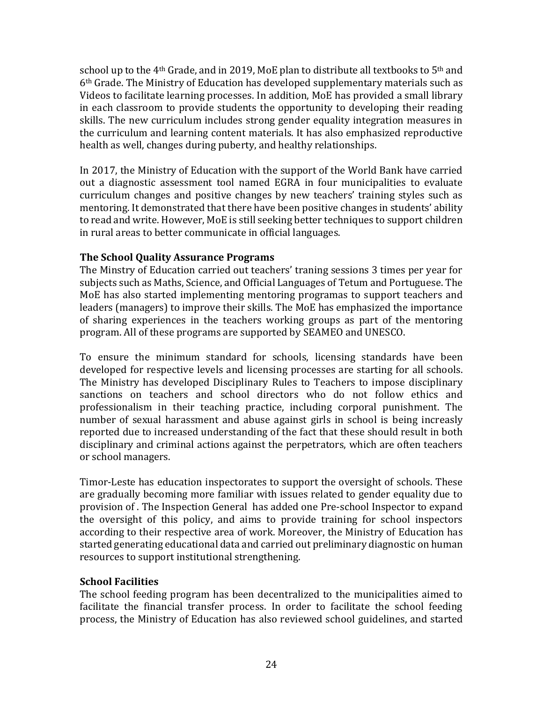school up to the 4<sup>th</sup> Grade, and in 2019, MoE plan to distribute all textbooks to 5<sup>th</sup> and 6th Grade. The Ministry of Education has developed supplementary materials such as Videos to facilitate learning processes. In addition, MoE has provided a small library in each classroom to provide students the opportunity to developing their reading skills. The new curriculum includes strong gender equality integration measures in the curriculum and learning content materials. It has also emphasized reproductive health as well, changes during puberty, and healthy relationships.

In 2017, the Ministry of Education with the support of the World Bank have carried out a diagnostic assessment tool named EGRA in four municipalities to evaluate curriculum changes and positive changes by new teachers' training styles such as mentoring. It demonstrated that there have been positive changes in students' ability to read and write. However, MoE is still seeking better techniques to support children in rural areas to better communicate in official languages.

# **The School Quality Assurance Programs**

The Minstry of Education carried out teachers' traning sessions 3 times per year for subjects such as Maths, Science, and Official Languages of Tetum and Portuguese. The MoE has also started implementing mentoring programas to support teachers and leaders (managers) to improve their skills. The MoE has emphasized the importance of sharing experiences in the teachers working groups as part of the mentoring program. All of these programs are supported by SEAMEO and UNESCO.

To ensure the minimum standard for schools, licensing standards have been developed for respective levels and licensing processes are starting for all schools. The Ministry has developed Disciplinary Rules to Teachers to impose disciplinary sanctions on teachers and school directors who do not follow ethics and professionalism in their teaching practice, including corporal punishment. The number of sexual harassment and abuse against girls in school is being increasly reported due to increased understanding of the fact that these should result in both disciplinary and criminal actions against the perpetrators, which are often teachers or school managers.

Timor-Leste has education inspectorates to support the oversight of schools. These are gradually becoming more familiar with issues related to gender equality due to provision of . The Inspection General has added one Pre-school Inspector to expand the oversight of this policy, and aims to provide training for school inspectors according to their respective area of work. Moreover, the Ministry of Education has started generating educational data and carried out preliminary diagnostic on human resources to support institutional strengthening.

# **School Facilities**

The school feeding program has been decentralized to the municipalities aimed to facilitate the financial transfer process. In order to facilitate the school feeding process, the Ministry of Education has also reviewed school guidelines, and started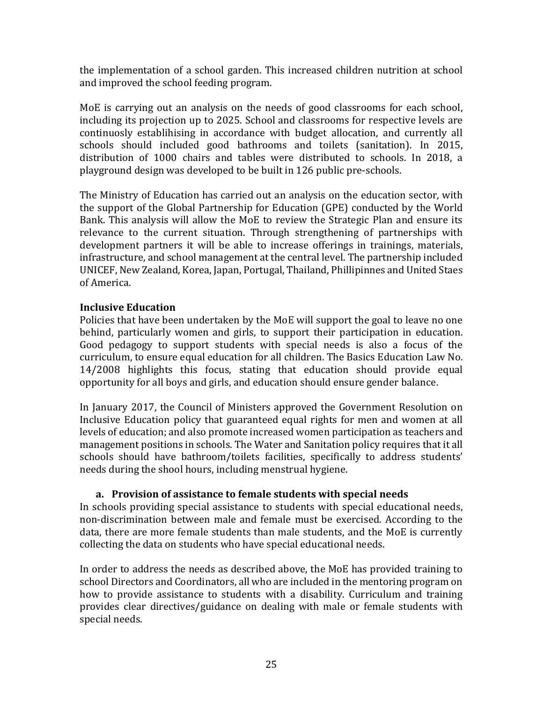the implementation of a school garden. This increased children nutrition at school and improved the school feeding program.

MoE is carrying out an analysis on the needs of good classrooms for each school, including its projection up to 2025. School and classrooms for respective levels are continuosly establihising in accordance with budget allocation, and currently all schools should included good bathrooms and toilets (sanitation). In 2015, distribution of 1000 chairs and tables were distributed to schools. In 2018, a playground design was developed to be built in 126 public pre-schools.

The Ministry of Education has carried out an analysis on the education sector, with the support of the Global Partnership for Education (GPE) conducted by the World Bank. This analysis will allow the MoE to review the Strategic Plan and ensure its relevance to the current situation. Through strengthening of partnerships with development partners it will be able to increase offerings in trainings, materials, infrastructure, and school management at the central level. The partnership included UNICEF, New Zealand, Korea, Japan, Portugal, Thailand, Phillipinnes and United Staes of America.

# **Inclusive Education**

Policies that have been undertaken by the MoE will support the goal to leave no one behind, particularly women and girls, to support their participation in education. Good pedagogy to support students with special needs is also a focus of the curriculum, to ensure equal education for all children. The Basics Education Law No. 14/2008 highlights this focus, stating that education should provide equal opportunity for all boys and girls, and education should ensure gender balance.

In January 2017, the Council of Ministers approved the Government Resolution on Inclusive Education policy that guaranteed equal rights for men and women at all levels of education; and also promote increased women participation as teachers and management positions in schools. The Water and Sanitation policy requires that it all schools should have bathroom/toilets facilities, specifically to address students' needs during the shool hours, including menstrual hygiene.

# **a. Provision of assistance to female students with special needs**

In schools providing special assistance to students with special educational needs, non-discrimination between male and female must be exercised. According to the data, there are more female students than male students, and the MoE is currently collecting the data on students who have special educational needs.

In order to address the needs as described above, the MoE has provided training to school Directors and Coordinators, all who are included in the mentoring program on how to provide assistance to students with a disability. Curriculum and training provides clear directives/guidance on dealing with male or female students with special needs.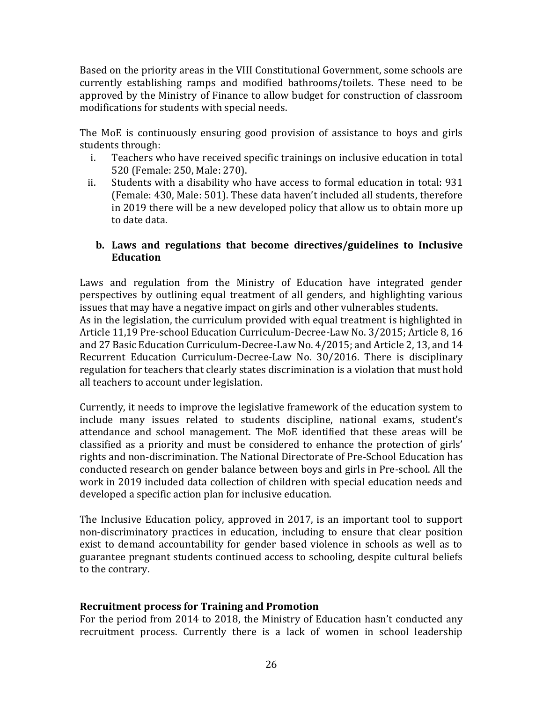Based on the priority areas in the VIII Constitutional Government, some schools are currently establishing ramps and modified bathrooms/toilets. These need to be approved by the Ministry of Finance to allow budget for construction of classroom modifications for students with special needs.

The MoE is continuously ensuring good provision of assistance to boys and girls students through:

- i. Teachers who have received specific trainings on inclusive education in total 520 (Female: 250, Male: 270).
- ii. Students with a disability who have access to formal education in total: 931 (Female: 430, Male: 501). These data haven't included all students, therefore in 2019 there will be a new developed policy that allow us to obtain more up to date data.

# **b. Laws and regulations that become directives/guidelines to Inclusive Education**

Laws and regulation from the Ministry of Education have integrated gender perspectives by outlining equal treatment of all genders, and highlighting various issues that may have a negative impact on girls and other vulnerables students. As in the legislation, the curriculum provided with equal treatment is highlighted in Article 11,19 Pre-school Education Curriculum-Decree-Law No. 3/2015; Article 8, 16 and 27 Basic Education Curriculum-Decree-Law No. 4/2015; and Article 2, 13, and 14 Recurrent Education Curriculum-Decree-Law No. 30/2016. There is disciplinary regulation for teachers that clearly states discrimination is a violation that must hold all teachers to account under legislation.

Currently, it needs to improve the legislative framework of the education system to include many issues related to students discipline, national exams, student's attendance and school management. The MoE identified that these areas will be classified as a priority and must be considered to enhance the protection of girls' rights and non-discrimination. The National Directorate of Pre-School Education has conducted research on gender balance between boys and girls in Pre-school. All the work in 2019 included data collection of children with special education needs and developed a specific action plan for inclusive education.

The Inclusive Education policy, approved in 2017, is an important tool to support non-discriminatory practices in education, including to ensure that clear position exist to demand accountability for gender based violence in schools as well as to guarantee pregnant students continued access to schooling, despite cultural beliefs to the contrary.

# **Recruitment process for Training and Promotion**

For the period from 2014 to 2018, the Ministry of Education hasn't conducted any recruitment process. Currently there is a lack of women in school leadership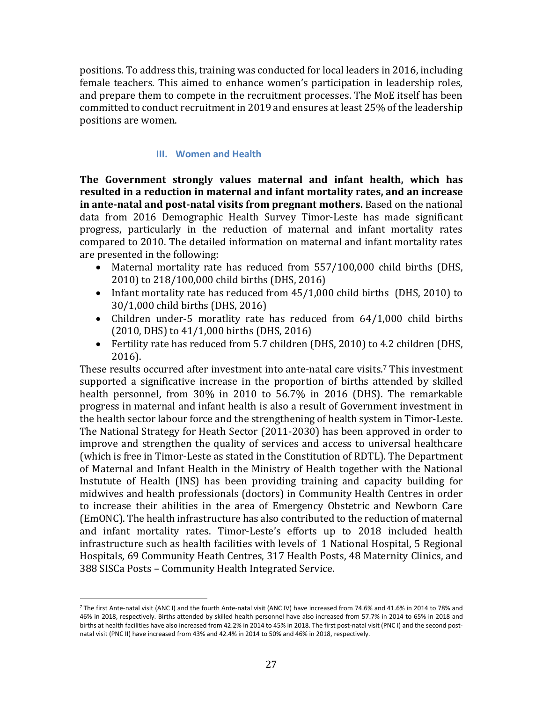positions. To address this, training was conducted for local leaders in 2016, including female teachers. This aimed to enhance women's participation in leadership roles, and prepare them to compete in the recruitment processes. The MoE itself has been committed to conduct recruitment in 2019 and ensures at least 25% of the leadership positions are women.

# **III. Women and Health**

<span id="page-27-0"></span>**The Government strongly values maternal and infant health, which has resulted in a reduction in maternal and infant mortality rates, and an increase in ante-natal and post-natal visits from pregnant mothers.** Based on the national data from 2016 Demographic Health Survey Timor-Leste has made significant progress, particularly in the reduction of maternal and infant mortality rates compared to 2010. The detailed information on maternal and infant mortality rates are presented in the following:

- Maternal mortality rate has reduced from 557/100,000 child births (DHS, 2010) to 218/100,000 child births (DHS, 2016)
- Infant mortality rate has reduced from 45/1,000 child births (DHS, 2010) to 30/1,000 child births (DHS, 2016)
- Children under-5 moratlity rate has reduced from 64/1,000 child births (2010, DHS) to 41/1,000 births (DHS, 2016)
- Fertility rate has reduced from 5.7 children (DHS, 2010) to 4.2 children (DHS, 2016).

These results occurred after investment into ante-natal care visits. <sup>7</sup> This investment supported a significative increase in the proportion of births attended by skilled health personnel, from 30% in 2010 to 56.7% in 2016 (DHS). The remarkable progress in maternal and infant health is also a result of Government investment in the health sector labour force and the strengthening of health system in Timor-Leste. The National Strategy for Heath Sector (2011-2030) has been approved in order to improve and strengthen the quality of services and access to universal healthcare (which is free in Timor-Leste as stated in the Constitution of RDTL). The Department of Maternal and Infant Health in the Ministry of Health together with the National Instutute of Health (INS) has been providing training and capacity building for midwives and health professionals (doctors) in Community Health Centres in order to increase their abilities in the area of Emergency Obstetric and Newborn Care (EmONC). The health infrastructure has also contributed to the reduction of maternal and infant mortality rates. Timor-Leste's efforts up to 2018 included health infrastructure such as health facilities with levels of 1 National Hospital, 5 Regional Hospitals, 69 Community Heath Centres, 317 Health Posts, 48 Maternity Clinics, and 388 SISCa Posts – Community Health Integrated Service.

l

<sup>7</sup> The first Ante-natal visit (ANC I) and the fourth Ante-natal visit (ANC IV) have increased from 74.6% and 41.6% in 2014 to 78% and 46% in 2018, respectively. Births attended by skilled health personnel have also increased from 57.7% in 2014 to 65% in 2018 and births at health facilities have also increased from 42.2% in 2014 to 45% in 2018. The first post-natal visit (PNC I) and the second postnatal visit (PNC II) have increased from 43% and 42.4% in 2014 to 50% and 46% in 2018, respectively.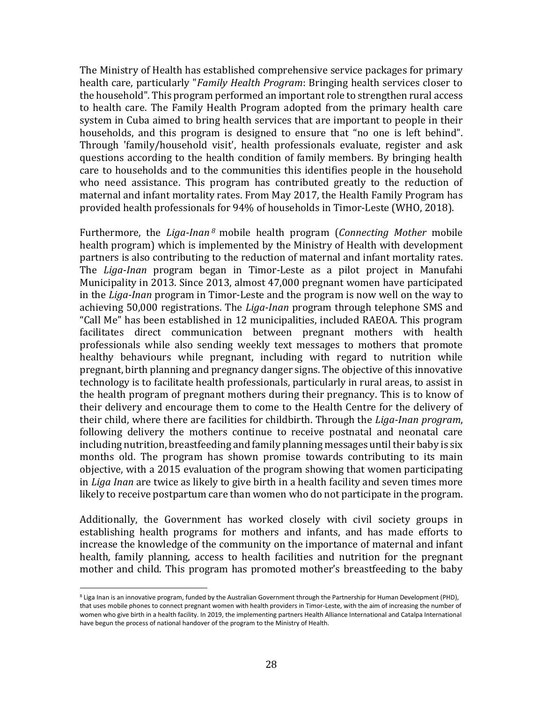The Ministry of Health has established comprehensive service packages for primary health care, particularly "*Family Health Program*: Bringing health services closer to the household". This program performed an important role to strengthen rural access to health care. The Family Health Program adopted from the primary health care system in Cuba aimed to bring health services that are important to people in their households, and this program is designed to ensure that "no one is left behind". Through 'family/household visit', health professionals evaluate, register and ask questions according to the health condition of family members. By bringing health care to households and to the communities this identifies people in the household who need assistance. This program has contributed greatly to the reduction of maternal and infant mortality rates. From May 2017, the Health Family Program has provided health professionals for 94% of households in Timor-Leste (WHO, 2018).

Furthermore, the *Liga-Inan <sup>8</sup>* mobile health program (*Connecting Mother* mobile health program) which is implemented by the Ministry of Health with development partners is also contributing to the reduction of maternal and infant mortality rates. The *Liga-Inan* program began in Timor-Leste as a pilot project in Manufahi Municipality in 2013. Since 2013, almost 47,000 pregnant women have participated in the *Liga-Inan* program in Timor-Leste and the program is now well on the way to achieving 50,000 registrations. The *Liga-Inan* program through telephone SMS and "Call Me" has been established in 12 municipalities, included RAEOA. This program facilitates direct communication between pregnant mothers with health professionals while also sending weekly text messages to mothers that promote healthy behaviours while pregnant, including with regard to nutrition while pregnant, birth planning and pregnancy danger signs. The objective of this innovative technology is to facilitate health professionals, particularly in rural areas, to assist in the health program of pregnant mothers during their pregnancy. This is to know of their delivery and encourage them to come to the Health Centre for the delivery of their child, where there are facilities for childbirth. Through the *Liga-Inan program*, following delivery the mothers continue to receive postnatal and neonatal care including nutrition, breastfeeding and family planning messages until their baby is six months old. The program has shown promise towards contributing to its main objective, with a 2015 evaluation of the program showing that women participating in *Liga Inan* are twice as likely to give birth in a health facility and seven times more likely to receive postpartum care than women who do not participate in the program.

Additionally, the Government has worked closely with civil society groups in establishing health programs for mothers and infants, and has made efforts to increase the knowledge of the community on the importance of maternal and infant health, family planning, access to health facilities and nutrition for the pregnant mother and child. This program has promoted mother's breastfeeding to the baby

 $\overline{a}$ 

<sup>&</sup>lt;sup>8</sup> Liga Inan is an innovative program, funded by the Australian Government through the Partnership for Human Development (PHD). that uses mobile phones to connect pregnant women with health providers in Timor-Leste, with the aim of increasing the number of women who give birth in a health facility. In 2019, the implementing partners Health Alliance International and Catalpa International have begun the process of national handover of the program to the Ministry of Health.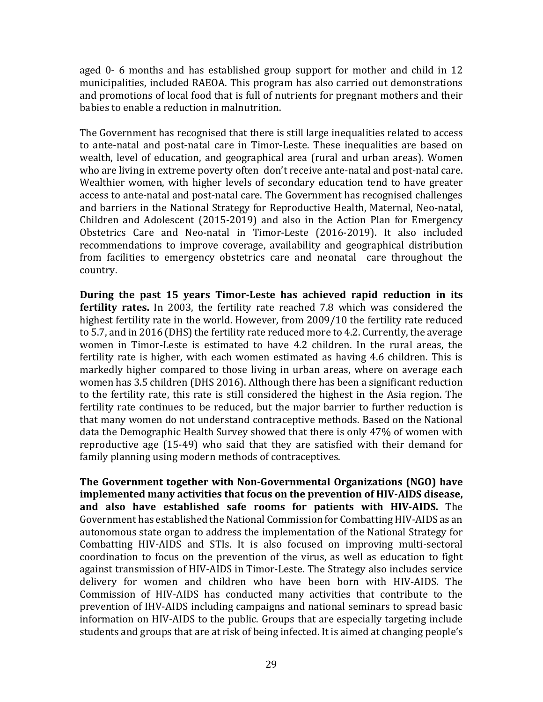aged 0- 6 months and has established group support for mother and child in 12 municipalities, included RAEOA. This program has also carried out demonstrations and promotions of local food that is full of nutrients for pregnant mothers and their babies to enable a reduction in malnutrition.

The Government has recognised that there is still large inequalities related to access to ante-natal and post-natal care in Timor-Leste. These inequalities are based on wealth, level of education, and geographical area (rural and urban areas). Women who are living in extreme poverty often don't receive ante-natal and post-natal care. Wealthier women, with higher levels of secondary education tend to have greater access to ante-natal and post-natal care. The Government has recognised challenges and barriers in the National Strategy for Reproductive Health, Maternal, Neo-natal, Children and Adolescent (2015-2019) and also in the Action Plan for Emergency Obstetrics Care and Neo-natal in Timor-Leste (2016-2019). It also included recommendations to improve coverage, availability and geographical distribution from facilities to emergency obstetrics care and neonatal care throughout the country.

**During the past 15 years Timor-Leste has achieved rapid reduction in its fertility rates.** In 2003, the fertility rate reached 7.8 which was considered the highest fertility rate in the world. However, from 2009/10 the fertility rate reduced to 5.7, and in 2016 (DHS) the fertility rate reduced more to 4.2. Currently, the average women in Timor-Leste is estimated to have 4.2 children. In the rural areas, the fertility rate is higher, with each women estimated as having 4.6 children. This is markedly higher compared to those living in urban areas, where on average each women has 3.5 children (DHS 2016). Although there has been a significant reduction to the fertility rate, this rate is still considered the highest in the Asia region. The fertility rate continues to be reduced, but the major barrier to further reduction is that many women do not understand contraceptive methods. Based on the National data the Demographic Health Survey showed that there is only 47% of women with reproductive age (15-49) who said that they are satisfied with their demand for family planning using modern methods of contraceptives.

**The Government together with Non-Governmental Organizations (NGO) have implemented many activities that focus on the prevention of HIV-AIDS disease, and also have established safe rooms for patients with HIV-AIDS.** The Government has established the National Commission for Combatting HIV-AIDS as an autonomous state organ to address the implementation of the National Strategy for Combatting HIV-AIDS and STIs. It is also focused on improving multi-sectoral coordination to focus on the prevention of the virus, as well as education to fight against transmission of HIV-AIDS in Timor-Leste. The Strategy also includes service delivery for women and children who have been born with HIV-AIDS. The Commission of HIV-AIDS has conducted many activities that contribute to the prevention of IHV-AIDS including campaigns and national seminars to spread basic information on HIV-AIDS to the public. Groups that are especially targeting include students and groups that are at risk of being infected. It is aimed at changing people's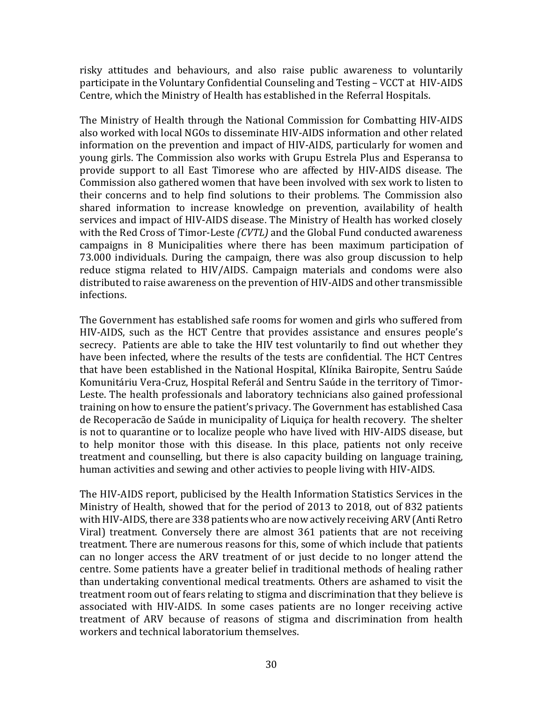risky attitudes and behaviours, and also raise public awareness to voluntarily participate in the Voluntary Confidential Counseling and Testing – VCCT at HIV-AIDS Centre, which the Ministry of Health has established in the Referral Hospitals.

The Ministry of Health through the National Commission for Combatting HIV-AIDS also worked with local NGOs to disseminate HIV-AIDS information and other related information on the prevention and impact of HIV-AIDS, particularly for women and young girls. The Commission also works with Grupu Estrela Plus and Esperansa to provide support to all East Timorese who are affected by HIV-AIDS disease. The Commission also gathered women that have been involved with sex work to listen to their concerns and to help find solutions to their problems. The Commission also shared information to increase knowledge on prevention, availability of health services and impact of HIV-AIDS disease. The Ministry of Health has worked closely with the Red Cross of Timor-Leste *(CVTL)* and the Global Fund conducted awareness campaigns in 8 Municipalities where there has been maximum participation of 73.000 individuals. During the campaign, there was also group discussion to help reduce stigma related to HIV/AIDS. Campaign materials and condoms were also distributed to raise awareness on the prevention of HIV-AIDS and other transmissible infections.

The Government has established safe rooms for women and girls who suffered from HIV-AIDS, such as the HCT Centre that provides assistance and ensures people's secrecy. Patients are able to take the HIV test voluntarily to find out whether they have been infected, where the results of the tests are confidential. The HCT Centres that have been established in the National Hospital, Klínika Bairopite, Sentru Saúde Komunitáriu Vera-Cruz, Hospital Referál and Sentru Saúde in the territory of Timor-Leste. The health professionals and laboratory technicians also gained professional training on how to ensure the patient's privacy. The Government has established Casa de Recoperacão de Saúde in municipality of Liquiça for health recovery. The shelter is not to quarantine or to localize people who have lived with HIV-AIDS disease, but to help monitor those with this disease. In this place, patients not only receive treatment and counselling, but there is also capacity building on language training, human activities and sewing and other activies to people living with HIV-AIDS.

The HIV-AIDS report, publicised by the Health Information Statistics Services in the Ministry of Health, showed that for the period of 2013 to 2018, out of 832 patients with HIV-AIDS, there are 338 patients who are now actively receiving ARV (Anti Retro Viral) treatment. Conversely there are almost 361 patients that are not receiving treatment. There are numerous reasons for this, some of which include that patients can no longer access the ARV treatment of or just decide to no longer attend the centre. Some patients have a greater belief in traditional methods of healing rather than undertaking conventional medical treatments. Others are ashamed to visit the treatment room out of fears relating to stigma and discrimination that they believe is associated with HIV-AIDS. In some cases patients are no longer receiving active treatment of ARV because of reasons of stigma and discrimination from health workers and technical laboratorium themselves.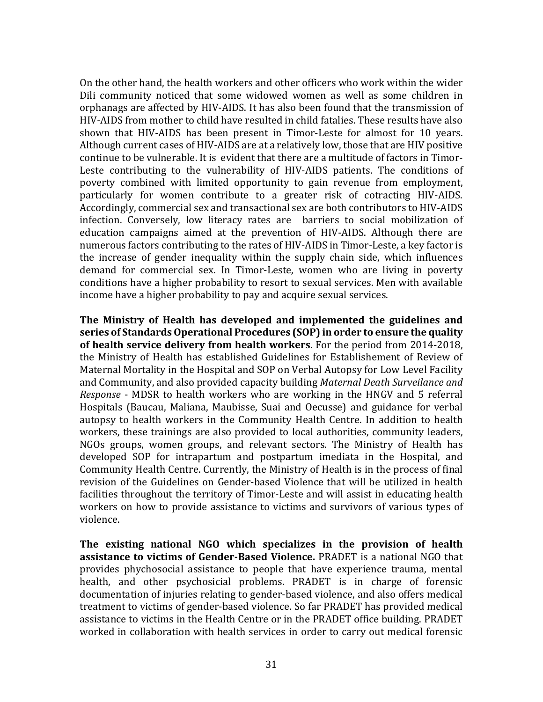On the other hand, the health workers and other officers who work within the wider Dili community noticed that some widowed women as well as some children in orphanags are affected by HIV-AIDS. It has also been found that the transmission of HIV-AIDS from mother to child have resulted in child fatalies. These results have also shown that HIV-AIDS has been present in Timor-Leste for almost for 10 years. Although current cases of HIV-AIDS are at a relatively low, those that are HIV positive continue to be vulnerable. It is evident that there are a multitude of factors in Timor-Leste contributing to the vulnerability of HIV-AIDS patients. The conditions of poverty combined with limited opportunity to gain revenue from employment, particularly for women contribute to a greater risk of cotracting HIV-AIDS. Accordingly, commercial sex and transactional sex are both contributors to HIV-AIDS infection. Conversely, low literacy rates are barriers to social mobilization of education campaigns aimed at the prevention of HIV-AIDS. Although there are numerous factors contributing to the rates of HIV-AIDS in Timor-Leste, a key factor is the increase of gender inequality within the supply chain side, which influences demand for commercial sex. In Timor-Leste, women who are living in poverty conditions have a higher probability to resort to sexual services. Men with available income have a higher probability to pay and acquire sexual services.

**The Ministry of Health has developed and implemented the guidelines and series of Standards Operational Procedures (SOP) in order to ensure the quality of health service delivery from health workers**. For the period from 2014-2018, the Ministry of Health has established Guidelines for Establishement of Review of Maternal Mortality in the Hospital and SOP on Verbal Autopsy for Low Level Facility and Community, and also provided capacity building *Maternal Death Surveilance and Response* - MDSR to health workers who are working in the HNGV and 5 referral Hospitals (Baucau, Maliana, Maubisse, Suai and Oecusse) and guidance for verbal autopsy to health workers in the Community Health Centre. In addition to health workers, these trainings are also provided to local authorities, community leaders, NGOs groups, women groups, and relevant sectors. The Ministry of Health has developed SOP for intrapartum and postpartum imediata in the Hospital, and Community Health Centre. Currently, the Ministry of Health is in the process of final revision of the Guidelines on Gender-based Violence that will be utilized in health facilities throughout the territory of Timor-Leste and will assist in educating health workers on how to provide assistance to victims and survivors of various types of violence.

**The existing national NGO which specializes in the provision of health assistance to victims of Gender-Based Violence.** PRADET is a national NGO that provides phychosocial assistance to people that have experience trauma, mental health, and other psychosicial problems. PRADET is in charge of forensic documentation of injuries relating to gender-based violence, and also offers medical treatment to victims of gender-based violence. So far PRADET has provided medical assistance to victims in the Health Centre or in the PRADET office building. PRADET worked in collaboration with health services in order to carry out medical forensic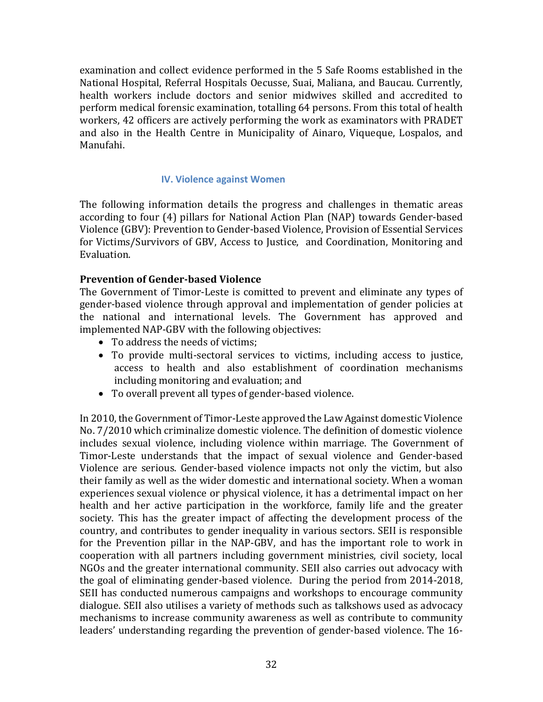examination and collect evidence performed in the 5 Safe Rooms established in the National Hospital, Referral Hospitals Oecusse, Suai, Maliana, and Baucau. Currently, health workers include doctors and senior midwives skilled and accredited to perform medical forensic examination, totalling 64 persons. From this total of health workers, 42 officers are actively performing the work as examinators with PRADET and also in the Health Centre in Municipality of Ainaro, Viqueque, Lospalos, and Manufahi.

# **IV. Violence against Women**

<span id="page-32-0"></span>The following information details the progress and challenges in thematic areas according to four (4) pillars for National Action Plan (NAP) towards Gender-based Violence (GBV): Prevention to Gender-based Violence, Provision of Essential Services for Victims/Survivors of GBV, Access to Justice, and Coordination, Monitoring and Evaluation.

# **Prevention of Gender-based Violence**

The Government of Timor-Leste is comitted to prevent and eliminate any types of gender-based violence through approval and implementation of gender policies at the national and international levels. The Government has approved and implemented NAP-GBV with the following objectives:

- To address the needs of victims;
- To provide multi-sectoral services to victims, including access to justice, access to health and also establishment of coordination mechanisms including monitoring and evaluation; and
- To overall prevent all types of gender-based violence.

In 2010, the Government of Timor-Leste approved the Law Against domestic Violence No. 7/2010 which criminalize domestic violence. The definition of domestic violence includes sexual violence, including violence within marriage. The Government of Timor-Leste understands that the impact of sexual violence and Gender-based Violence are serious. Gender-based violence impacts not only the victim, but also their family as well as the wider domestic and international society. When a woman experiences sexual violence or physical violence, it has a detrimental impact on her health and her active participation in the workforce, family life and the greater society. This has the greater impact of affecting the development process of the country, and contributes to gender inequality in various sectors. SEII is responsible for the Prevention pillar in the NAP-GBV, and has the important role to work in cooperation with all partners including government ministries, civil society, local NGOs and the greater international community. SEII also carries out advocacy with the goal of eliminating gender-based violence. During the period from 2014-2018, SEII has conducted numerous campaigns and workshops to encourage community dialogue. SEII also utilises a variety of methods such as talkshows used as advocacy mechanisms to increase community awareness as well as contribute to community leaders' understanding regarding the prevention of gender-based violence. The 16-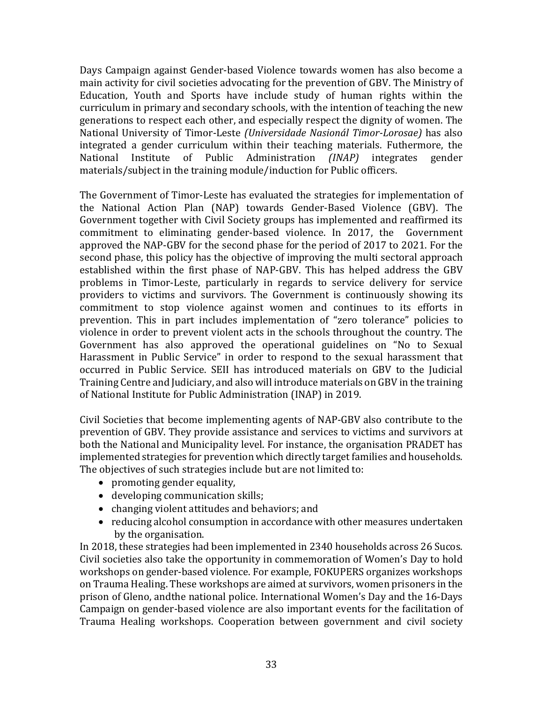Days Campaign against Gender-based Violence towards women has also become a main activity for civil societies advocating for the prevention of GBV. The Ministry of Education, Youth and Sports have include study of human rights within the curriculum in primary and secondary schools, with the intention of teaching the new generations to respect each other, and especially respect the dignity of women. The National University of Timor-Leste *(Universidade Nasionál Timor-Lorosae)* has also integrated a gender curriculum within their teaching materials. Futhermore, the National Institute of Public Administration *(INAP)* integrates gender materials/subject in the training module/induction for Public officers.

The Government of Timor-Leste has evaluated the strategies for implementation of the National Action Plan (NAP) towards Gender-Based Violence (GBV). The Government together with Civil Society groups has implemented and reaffirmed its commitment to eliminating gender-based violence. In 2017, the Government approved the NAP-GBV for the second phase for the period of 2017 to 2021. For the second phase, this policy has the objective of improving the multi sectoral approach established within the first phase of NAP-GBV. This has helped address the GBV problems in Timor-Leste, particularly in regards to service delivery for service providers to victims and survivors. The Government is continuously showing its commitment to stop violence against women and continues to its efforts in prevention. This in part includes implementation of "zero tolerance" policies to violence in order to prevent violent acts in the schools throughout the country. The Government has also approved the operational guidelines on "No to Sexual Harassment in Public Service" in order to respond to the sexual harassment that occurred in Public Service. SEII has introduced materials on GBV to the Judicial Training Centre and Judiciary, and also will introduce materials on GBV in the training of National Institute for Public Administration (INAP) in 2019.

Civil Societies that become implementing agents of NAP-GBV also contribute to the prevention of GBV. They provide assistance and services to victims and survivors at both the National and Municipality level. For instance, the organisation PRADET has implemented strategies for prevention which directly target families and households. The objectives of such strategies include but are not limited to:

- promoting gender equality,
- developing communication skills;
- changing violent attitudes and behaviors; and
- reducing alcohol consumption in accordance with other measures undertaken by the organisation.

In 2018, these strategies had been implemented in 2340 households across 26 Sucos. Civil societies also take the opportunity in commemoration of Women's Day to hold workshops on gender-based violence. For example, FOKUPERS organizes workshops on Trauma Healing. These workshops are aimed at survivors, women prisoners in the prison of Gleno, andthe national police. International Women's Day and the 16-Days Campaign on gender-based violence are also important events for the facilitation of Trauma Healing workshops. Cooperation between government and civil society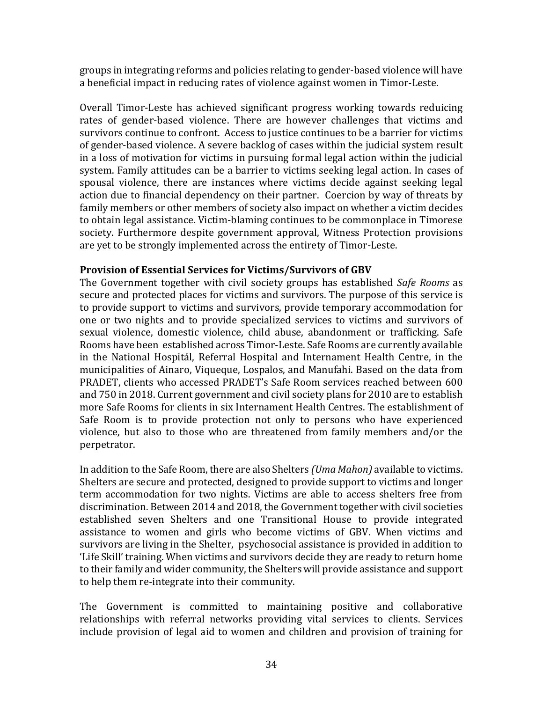groups in integrating reforms and policies relating to gender-based violence will have a beneficial impact in reducing rates of violence against women in Timor-Leste.

Overall Timor-Leste has achieved significant progress working towards reduicing rates of gender-based violence. There are however challenges that victims and survivors continue to confront. Access to justice continues to be a barrier for victims of gender-based violence. A severe backlog of cases within the judicial system result in a loss of motivation for victims in pursuing formal legal action within the judicial system. Family attitudes can be a barrier to victims seeking legal action. In cases of spousal violence, there are instances where victims decide against seeking legal action due to financial dependency on their partner. Coercion by way of threats by family members or other members of society also impact on whether a victim decides to obtain legal assistance. Victim-blaming continues to be commonplace in Timorese society. Furthermore despite government approval, Witness Protection provisions are yet to be strongly implemented across the entirety of Timor-Leste.

# **Provision of Essential Services for Victims/Survivors of GBV**

The Government together with civil society groups has established *Safe Rooms* as secure and protected places for victims and survivors. The purpose of this service is to provide support to victims and survivors, provide temporary accommodation for one or two nights and to provide specialized services to victims and survivors of sexual violence, domestic violence, child abuse, abandonment or trafficking. Safe Rooms have been established across Timor-Leste. Safe Rooms are currently available in the National Hospitál, Referral Hospital and Internament Health Centre, in the municipalities of Ainaro, Viqueque, Lospalos, and Manufahi. Based on the data from PRADET, clients who accessed PRADET's Safe Room services reached between 600 and 750 in 2018. Current government and civil society plans for 2010 are to establish more Safe Rooms for clients in six Internament Health Centres. The establishment of Safe Room is to provide protection not only to persons who have experienced violence, but also to those who are threatened from family members and/or the perpetrator.

In addition to theSafe Room, there are also Shelters *(Uma Mahon)* available to victims. Shelters are secure and protected, designed to provide support to victims and longer term accommodation for two nights. Victims are able to access shelters free from discrimination. Between 2014 and 2018, the Government together with civil societies established seven Shelters and one Transitional House to provide integrated assistance to women and girls who become victims of GBV. When victims and survivors are living in the Shelter, psychosocial assistance is provided in addition to 'Life Skill' training. When victims and survivors decide they are ready to return home to their family and wider community, the Shelters will provide assistance and support to help them re-integrate into their community.

The Government is committed to maintaining positive and collaborative relationships with referral networks providing vital services to clients. Services include provision of legal aid to women and children and provision of training for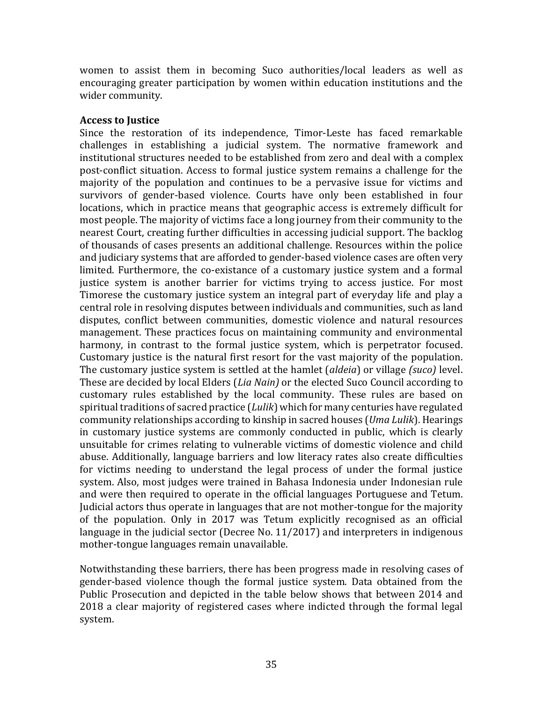women to assist them in becoming Suco authorities/local leaders as well as encouraging greater participation by women within education institutions and the wider community.

# **Access to Justice**

Since the restoration of its independence, Timor-Leste has faced remarkable challenges in establishing a judicial system. The normative framework and institutional structures needed to be established from zero and deal with a complex post-conflict situation. Access to formal justice system remains a challenge for the majority of the population and continues to be a pervasive issue for victims and survivors of gender-based violence. Courts have only been established in four locations, which in practice means that geographic access is extremely difficult for most people. The majority of victims face a long journey from their community to the nearest Court, creating further difficulties in accessing judicial support. The backlog of thousands of cases presents an additional challenge. Resources within the police and judiciary systems that are afforded to gender-based violence cases are often very limited. Furthermore, the co-existance of a customary justice system and a formal justice system is another barrier for victims trying to access justice. For most Timorese the customary justice system an integral part of everyday life and play a central role in resolving disputes between individuals and communities, such as land disputes, conflict between communities, domestic violence and natural resources management. These practices focus on maintaining community and environmental harmony, in contrast to the formal justice system, which is perpetrator focused. Customary justice is the natural first resort for the vast majority of the population. The customary justice system is settled at the hamlet (*aldeia*) or village *(suco)* level. These are decided by local Elders (*Lia Nain)* or the elected Suco Council according to customary rules established by the local community. These rules are based on spiritual traditions of sacred practice (*Lulik*) which for many centuries have regulated community relationships according to kinship in sacred houses (*Uma Lulik*). Hearings in customary justice systems are commonly conducted in public, which is clearly unsuitable for crimes relating to vulnerable victims of domestic violence and child abuse. Additionally, language barriers and low literacy rates also create difficulties for victims needing to understand the legal process of under the formal justice system. Also, most judges were trained in Bahasa Indonesia under Indonesian rule and were then required to operate in the official languages Portuguese and Tetum. Judicial actors thus operate in languages that are not mother-tongue for the majority of the population. Only in 2017 was Tetum explicitly recognised as an official language in the judicial sector (Decree No. 11/2017) and interpreters in indigenous mother-tongue languages remain unavailable.

Notwithstanding these barriers, there has been progress made in resolving cases of gender-based violence though the formal justice system. Data obtained from the Public Prosecution and depicted in the table below shows that between 2014 and 2018 a clear majority of registered cases where indicted through the formal legal system.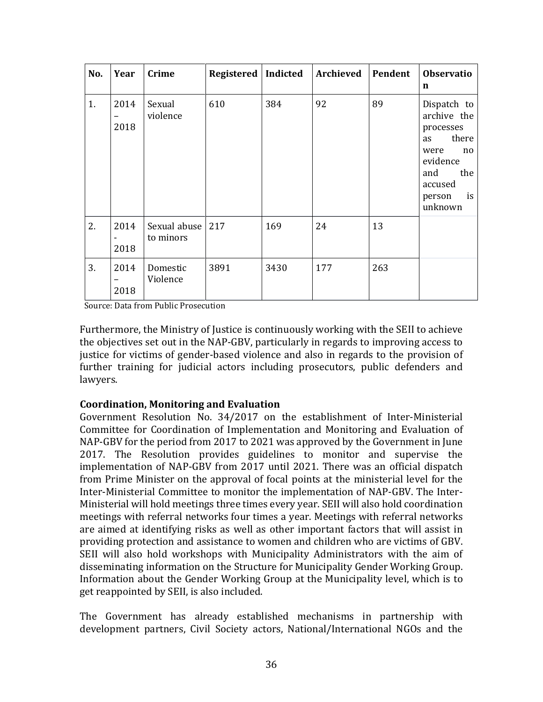| No. | Year              | Crime                           | Registered   Indicted |      | Archieved | Pendent | <b>Observatio</b><br>$\mathbf n$                                                                                                     |
|-----|-------------------|---------------------------------|-----------------------|------|-----------|---------|--------------------------------------------------------------------------------------------------------------------------------------|
| 1.  | 2014<br>-<br>2018 | Sexual<br>violence              | 610                   | 384  | 92        | 89      | Dispatch to<br>archive the<br>processes<br>there<br>as<br>were<br>no<br>evidence<br>and<br>the<br>accused<br>is<br>person<br>unknown |
| 2.  | 2014<br>2018      | Sexual abuse   217<br>to minors |                       | 169  | 24        | 13      |                                                                                                                                      |
| 3.  | 2014<br>-<br>2018 | Domestic<br>Violence            | 3891                  | 3430 | 177       | 263     |                                                                                                                                      |

Source: Data from Public Prosecution

Furthermore, the Ministry of Justice is continuously working with the SEII to achieve the objectives set out in the NAP-GBV, particularly in regards to improving access to justice for victims of gender-based violence and also in regards to the provision of further training for judicial actors including prosecutors, public defenders and lawyers.

# **Coordination, Monitoring and Evaluation**

Government Resolution No. 34/2017 on the establishment of Inter-Ministerial Committee for Coordination of Implementation and Monitoring and Evaluation of NAP-GBV for the period from 2017 to 2021 was approved by the Government in June 2017. The Resolution provides guidelines to monitor and supervise the implementation of NAP-GBV from 2017 until 2021. There was an official dispatch from Prime Minister on the approval of focal points at the ministerial level for the Inter-Ministerial Committee to monitor the implementation of NAP-GBV. The Inter-Ministerial will hold meetings three times every year. SEII will also hold coordination meetings with referral networks four times a year. Meetings with referral networks are aimed at identifying risks as well as other important factors that will assist in providing protection and assistance to women and children who are victims of GBV. SEII will also hold workshops with Municipality Administrators with the aim of disseminating information on the Structure for Municipality Gender Working Group. Information about the Gender Working Group at the Municipality level, which is to get reappointed by SEII, is also included.

The Government has already established mechanisms in partnership with development partners, Civil Society actors, National/International NGOs and the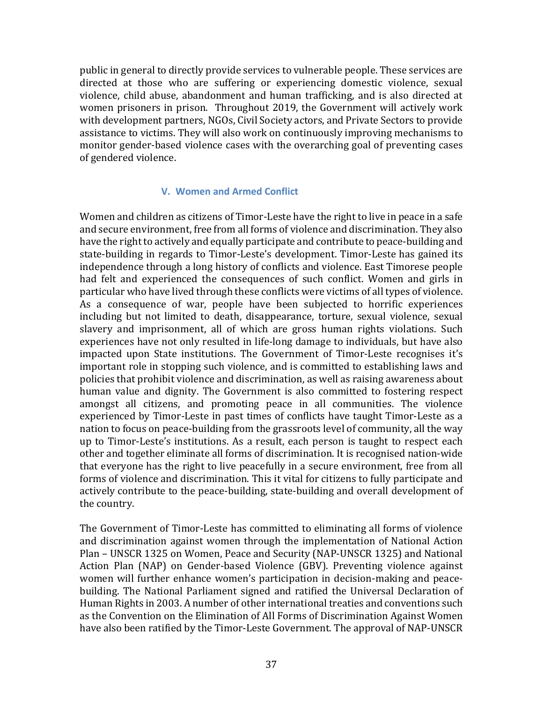public in general to directly provide services to vulnerable people. These services are directed at those who are suffering or experiencing domestic violence, sexual violence, child abuse, abandonment and human trafficking, and is also directed at women prisoners in prison. Throughout 2019, the Government will actively work with development partners, NGOs, Civil Society actors, and Private Sectors to provide assistance to victims. They will also work on continuously improving mechanisms to monitor gender-based violence cases with the overarching goal of preventing cases of gendered violence.

# **V. Women and Armed Conflict**

<span id="page-37-0"></span>Women and children as citizens of Timor-Leste have the right to live in peace in a safe and secure environment, free from all forms of violence and discrimination. They also have the right to actively and equally participate and contribute to peace-building and state-building in regards to Timor-Leste's development. Timor-Leste has gained its independence through a long history of conflicts and violence. East Timorese people had felt and experienced the consequences of such conflict. Women and girls in particular who have lived through these conflicts were victims of all types of violence. As a consequence of war, people have been subjected to horrific experiences including but not limited to death, disappearance, torture, sexual violence, sexual slavery and imprisonment, all of which are gross human rights violations. Such experiences have not only resulted in life-long damage to individuals, but have also impacted upon State institutions. The Government of Timor-Leste recognises it's important role in stopping such violence, and is committed to establishing laws and policies that prohibit violence and discrimination, as well as raising awareness about human value and dignity. The Government is also committed to fostering respect amongst all citizens, and promoting peace in all communities. The violence experienced by Timor-Leste in past times of conflicts have taught Timor-Leste as a nation to focus on peace-building from the grassroots level of community, all the way up to Timor-Leste's institutions. As a result, each person is taught to respect each other and together eliminate all forms of discrimination. It is recognised nation-wide that everyone has the right to live peacefully in a secure environment, free from all forms of violence and discrimination. This it vital for citizens to fully participate and actively contribute to the peace-building, state-building and overall development of the country.

The Government of Timor-Leste has committed to eliminating all forms of violence and discrimination against women through the implementation of National Action Plan – UNSCR 1325 on Women, Peace and Security (NAP-UNSCR 1325) and National Action Plan (NAP) on Gender-based Violence (GBV). Preventing violence against women will further enhance women's participation in decision-making and peacebuilding. The National Parliament signed and ratified the Universal Declaration of Human Rights in 2003. A number of other international treaties and conventions such as the Convention on the Elimination of All Forms of Discrimination Against Women have also been ratified by the Timor-Leste Government. The approval of NAP-UNSCR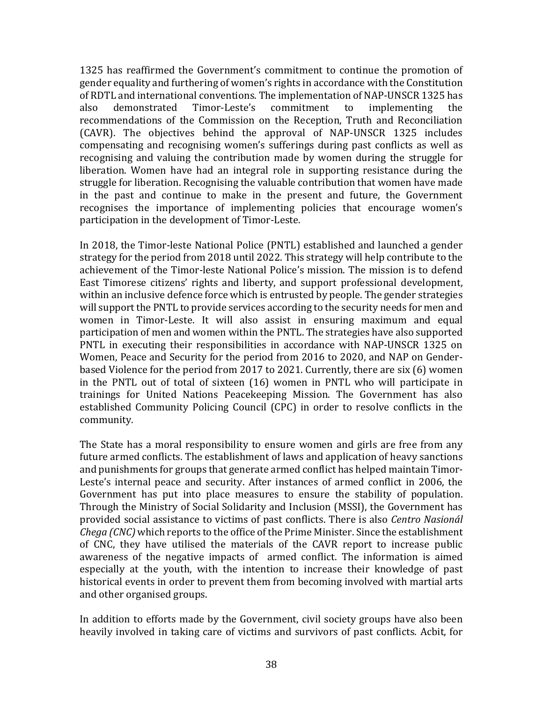1325 has reaffirmed the Government's commitment to continue the promotion of gender equality and furthering of women's rights in accordance with the Constitution of RDTL and international conventions. The implementation of NAP-UNSCR 1325 has also demonstrated Timor-Leste's commitment to implementing the recommendations of the Commission on the Reception, Truth and Reconciliation (CAVR). The objectives behind the approval of NAP-UNSCR 1325 includes compensating and recognising women's sufferings during past conflicts as well as recognising and valuing the contribution made by women during the struggle for liberation. Women have had an integral role in supporting resistance during the struggle for liberation. Recognising the valuable contribution that women have made in the past and continue to make in the present and future, the Government recognises the importance of implementing policies that encourage women's participation in the development of Timor-Leste.

In 2018, the Timor-leste National Police (PNTL) established and launched a gender strategy for the period from 2018 until 2022. This strategy will help contribute to the achievement of the Timor-leste National Police's mission. The mission is to defend East Timorese citizens' rights and liberty, and support professional development, within an inclusive defence force which is entrusted by people. The gender strategies will support the PNTL to provide services according to the security needs for men and women in Timor-Leste. It will also assist in ensuring maximum and equal participation of men and women within the PNTL. The strategies have also supported PNTL in executing their responsibilities in accordance with NAP-UNSCR 1325 on Women, Peace and Security for the period from 2016 to 2020, and NAP on Genderbased Violence for the period from 2017 to 2021. Currently, there are six (6) women in the PNTL out of total of sixteen (16) women in PNTL who will participate in trainings for United Nations Peacekeeping Mission. The Government has also established Community Policing Council (CPC) in order to resolve conflicts in the community.

The State has a moral responsibility to ensure women and girls are free from any future armed conflicts. The establishment of laws and application of heavy sanctions and punishments for groups that generate armed conflict has helped maintain Timor-Leste's internal peace and security. After instances of armed conflict in 2006, the Government has put into place measures to ensure the stability of population. Through the Ministry of Social Solidarity and Inclusion (MSSI), the Government has provided social assistance to victims of past conflicts. There is also *Centro Nasionál Chega (CNC)* which reports to the office of the Prime Minister. Since the establishment of CNC, they have utilised the materials of the CAVR report to increase public awareness of the negative impacts of armed conflict. The information is aimed especially at the youth, with the intention to increase their knowledge of past historical events in order to prevent them from becoming involved with martial arts and other organised groups.

In addition to efforts made by the Government, civil society groups have also been heavily involved in taking care of victims and survivors of past conflicts. Acbit, for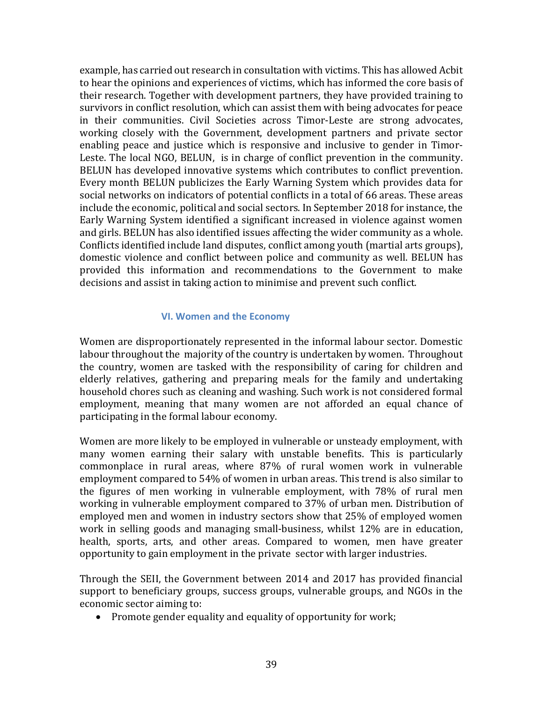example, has carried out research in consultation with victims. This has allowed Acbit to hear the opinions and experiences of victims, which has informed the core basis of their research. Together with development partners, they have provided training to survivors in conflict resolution, which can assist them with being advocates for peace in their communities. Civil Societies across Timor-Leste are strong advocates, working closely with the Government, development partners and private sector enabling peace and justice which is responsive and inclusive to gender in Timor-Leste. The local NGO, BELUN, is in charge of conflict prevention in the community. BELUN has developed innovative systems which contributes to conflict prevention. Every month BELUN publicizes the Early Warning System which provides data for social networks on indicators of potential conflicts in a total of 66 areas. These areas include the economic, political and social sectors. In September 2018 for instance, the Early Warning System identified a significant increased in violence against women and girls. BELUN has also identified issues affecting the wider community as a whole. Conflicts identified include land disputes, conflict among youth (martial arts groups), domestic violence and conflict between police and community as well. BELUN has provided this information and recommendations to the Government to make decisions and assist in taking action to minimise and prevent such conflict.

# **VI. Women and the Economy**

<span id="page-39-0"></span>Women are disproportionately represented in the informal labour sector. Domestic labour throughout the majority of the country is undertaken by women. Throughout the country, women are tasked with the responsibility of caring for children and elderly relatives, gathering and preparing meals for the family and undertaking household chores such as cleaning and washing. Such work is not considered formal employment, meaning that many women are not afforded an equal chance of participating in the formal labour economy.

Women are more likely to be employed in vulnerable or unsteady employment, with many women earning their salary with unstable benefits. This is particularly commonplace in rural areas, where 87% of rural women work in vulnerable employment compared to 54% of women in urban areas. This trend is also similar to the figures of men working in vulnerable employment, with 78% of rural men working in vulnerable employment compared to 37% of urban men. Distribution of employed men and women in industry sectors show that 25% of employed women work in selling goods and managing small-business, whilst 12% are in education, health, sports, arts, and other areas. Compared to women, men have greater opportunity to gain employment in the private sector with larger industries.

Through the SEII, the Government between 2014 and 2017 has provided financial support to beneficiary groups, success groups, vulnerable groups, and NGOs in the economic sector aiming to:

• Promote gender equality and equality of opportunity for work;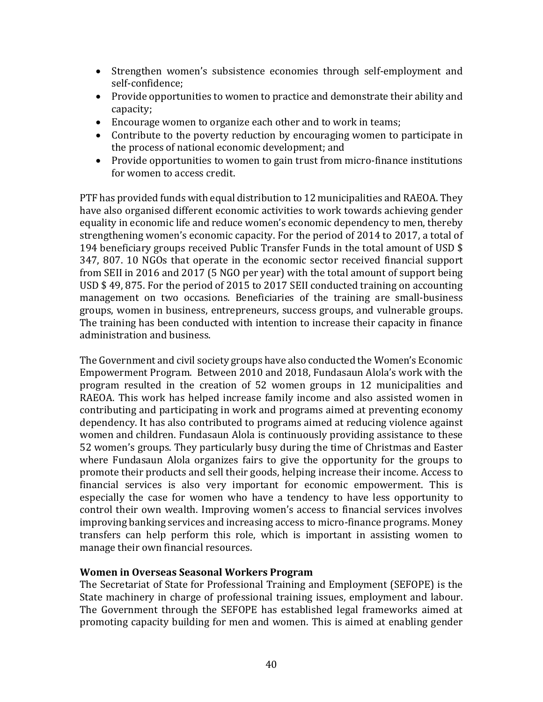- Strengthen women's subsistence economies through self-employment and self-confidence;
- Provide opportunities to women to practice and demonstrate their ability and capacity;
- Encourage women to organize each other and to work in teams;
- Contribute to the poverty reduction by encouraging women to participate in the process of national economic development; and
- Provide opportunities to women to gain trust from micro-finance institutions for women to access credit.

PTF has provided funds with equal distribution to 12 municipalities and RAEOA. They have also organised different economic activities to work towards achieving gender equality in economic life and reduce women's economic dependency to men, thereby strengthening women's economic capacity. For the period of 2014 to 2017, a total of 194 beneficiary groups received Public Transfer Funds in the total amount of USD \$ 347, 807. 10 NGOs that operate in the economic sector received financial support from SEII in 2016 and 2017 (5 NGO per year) with the total amount of support being USD \$ 49, 875. For the period of 2015 to 2017 SEII conducted training on accounting management on two occasions. Beneficiaries of the training are small-business groups, women in business, entrepreneurs, success groups, and vulnerable groups. The training has been conducted with intention to increase their capacity in finance administration and business.

The Government and civil society groups have also conducted the Women's Economic Empowerment Program. Between 2010 and 2018, Fundasaun Alola's work with the program resulted in the creation of 52 women groups in 12 municipalities and RAEOA. This work has helped increase family income and also assisted women in contributing and participating in work and programs aimed at preventing economy dependency. It has also contributed to programs aimed at reducing violence against women and children. Fundasaun Alola is continuously providing assistance to these 52 women's groups. They particularly busy during the time of Christmas and Easter where Fundasaun Alola organizes fairs to give the opportunity for the groups to promote their products and sell their goods, helping increase their income. Access to financial services is also very important for economic empowerment. This is especially the case for women who have a tendency to have less opportunity to control their own wealth. Improving women's access to financial services involves improving banking services and increasing access to micro-finance programs. Money transfers can help perform this role, which is important in assisting women to manage their own financial resources.

# **Women in Overseas Seasonal Workers Program**

The Secretariat of State for Professional Training and Employment (SEFOPE) is the State machinery in charge of professional training issues, employment and labour. The Government through the SEFOPE has established legal frameworks aimed at promoting capacity building for men and women. This is aimed at enabling gender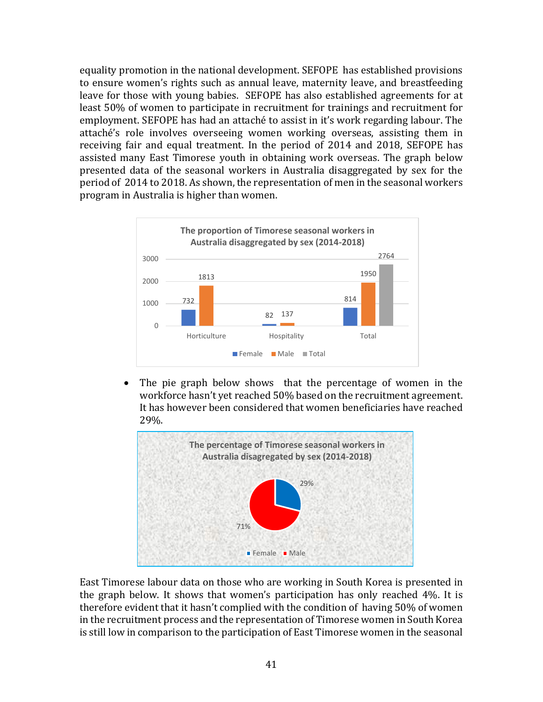equality promotion in the national development. SEFOPE has established provisions to ensure women's rights such as annual leave, maternity leave, and breastfeeding leave for those with young babies. SEFOPE has also established agreements for at least 50% of women to participate in recruitment for trainings and recruitment for employment. SEFOPE has had an attaché to assist in it's work regarding labour. The attaché's role involves overseeing women working overseas, assisting them in receiving fair and equal treatment. In the period of 2014 and 2018, SEFOPE has assisted many East Timorese youth in obtaining work overseas. The graph below presented data of the seasonal workers in Australia disaggregated by sex for the period of 2014 to 2018. As shown, the representation of men in the seasonal workers program in Australia is higher than women.



• The pie graph below shows that the percentage of women in the workforce hasn't yet reached 50% based on the recruitment agreement. It has however been considered that women beneficiaries have reached 29%.



East Timorese labour data on those who are working in South Korea is presented in the graph below. It shows that women's participation has only reached 4%. It is therefore evident that it hasn't complied with the condition of having 50% of women in the recruitment process and the representation of Timorese women in South Korea is still low in comparison to the participation of East Timorese women in the seasonal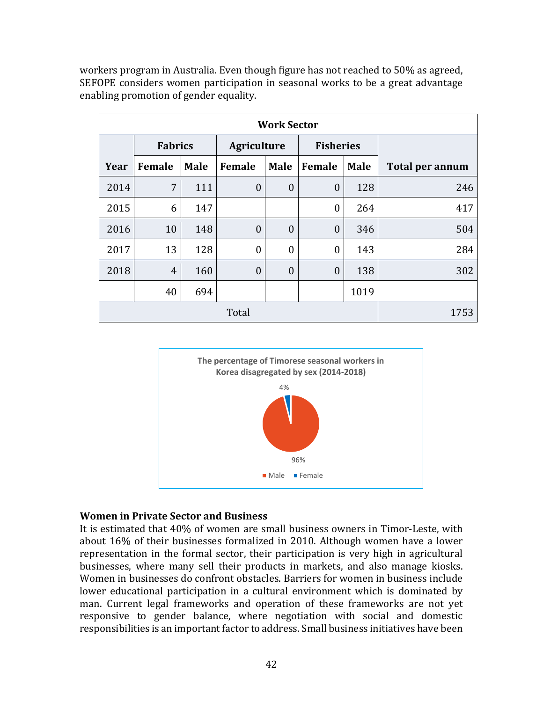workers program in Australia. Even though figure has not reached to 50% as agreed, SEFOPE considers women participation in seasonal works to be a great advantage enabling promotion of gender equality.

| <b>Work Sector</b> |                |             |                |                  |                  |             |                        |  |  |  |
|--------------------|----------------|-------------|----------------|------------------|------------------|-------------|------------------------|--|--|--|
|                    | <b>Fabrics</b> |             | Agriculture    |                  | <b>Fisheries</b> |             |                        |  |  |  |
| Year               | Female         | <b>Male</b> | Female         | <b>Male</b>      | Female           | <b>Male</b> | <b>Total per annum</b> |  |  |  |
| 2014               | 7              | 111         | $\overline{0}$ | $\boldsymbol{0}$ | $\overline{0}$   | 128         | 246                    |  |  |  |
| 2015               | 6              | 147         |                |                  | $\overline{0}$   | 264         | 417                    |  |  |  |
| 2016               | 10             | 148         | $\overline{0}$ | $\boldsymbol{0}$ | $\overline{0}$   | 346         | 504                    |  |  |  |
| 2017               | 13             | 128         | $\overline{0}$ | $\boldsymbol{0}$ | $\mathbf{0}$     | 143         | 284                    |  |  |  |
| 2018               | $\overline{4}$ | 160         | $\overline{0}$ | $\overline{0}$   | $\overline{0}$   | 138         | 302                    |  |  |  |
|                    | 40             | 694         |                |                  |                  | 1019        |                        |  |  |  |
|                    |                | 1753        |                |                  |                  |             |                        |  |  |  |



# **Women in Private Sector and Business**

It is estimated that 40% of women are small business owners in Timor-Leste, with about 16% of their businesses formalized in 2010. Although women have a lower representation in the formal sector, their participation is very high in agricultural businesses, where many sell their products in markets, and also manage kiosks. Women in businesses do confront obstacles. Barriers for women in business include lower educational participation in a cultural environment which is dominated by man. Current legal frameworks and operation of these frameworks are not yet responsive to gender balance, where negotiation with social and domestic responsibilities is an important factor to address. Small business initiatives have been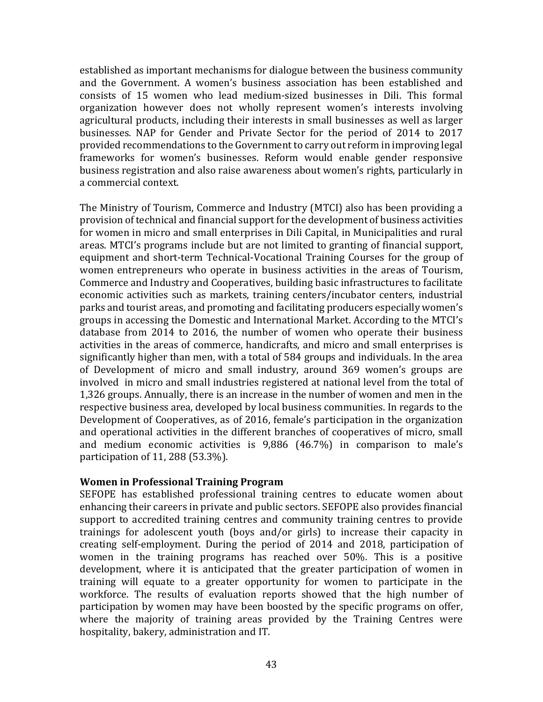established as important mechanisms for dialogue between the business community and the Government. A women's business association has been established and consists of 15 women who lead medium-sized businesses in Dili. This formal organization however does not wholly represent women's interests involving agricultural products, including their interests in small businesses as well as larger businesses. NAP for Gender and Private Sector for the period of 2014 to 2017 provided recommendations to the Government to carry out reform in improving legal frameworks for women's businesses. Reform would enable gender responsive business registration and also raise awareness about women's rights, particularly in a commercial context.

The Ministry of Tourism, Commerce and Industry (MTCI) also has been providing a provision of technical and financial support for the development of business activities for women in micro and small enterprises in Dili Capital, in Municipalities and rural areas. MTCI's programs include but are not limited to granting of financial support, equipment and short-term Technical-Vocational Training Courses for the group of women entrepreneurs who operate in business activities in the areas of Tourism, Commerce and Industry and Cooperatives, building basic infrastructures to facilitate economic activities such as markets, training centers/incubator centers, industrial parks and tourist areas, and promoting and facilitating producers especially women's groups in accessing the Domestic and International Market. According to the MTCI's database from 2014 to 2016, the number of women who operate their business activities in the areas of commerce, handicrafts, and micro and small enterprises is significantly higher than men, with a total of 584 groups and individuals. In the area of Development of micro and small industry, around 369 women's groups are involved in micro and small industries registered at national level from the total of 1,326 groups. Annually, there is an increase in the number of women and men in the respective business area, developed by local business communities. In regards to the Development of Cooperatives, as of 2016, female's participation in the organization and operational activities in the different branches of cooperatives of micro, small and medium economic activities is 9,886 (46.7%) in comparison to male's participation of 11, 288 (53.3%).

# **Women in Professional Training Program**

SEFOPE has established professional training centres to educate women about enhancing their careers in private and public sectors. SEFOPE also provides financial support to accredited training centres and community training centres to provide trainings for adolescent youth (boys and/or girls) to increase their capacity in creating self-employment. During the period of 2014 and 2018, participation of women in the training programs has reached over 50%. This is a positive development, where it is anticipated that the greater participation of women in training will equate to a greater opportunity for women to participate in the workforce. The results of evaluation reports showed that the high number of participation by women may have been boosted by the specific programs on offer, where the majority of training areas provided by the Training Centres were hospitality, bakery, administration and IT.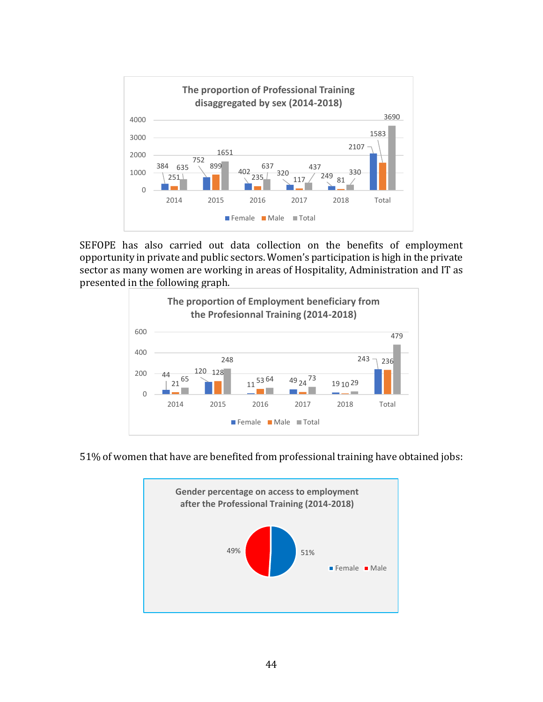

SEFOPE has also carried out data collection on the benefits of employment opportunity in private and public sectors. Women's participation is high in the private sector as many women are working in areas of Hospitality, Administration and IT as presented in the following graph.



51% of women that have are benefited from professional training have obtained jobs:

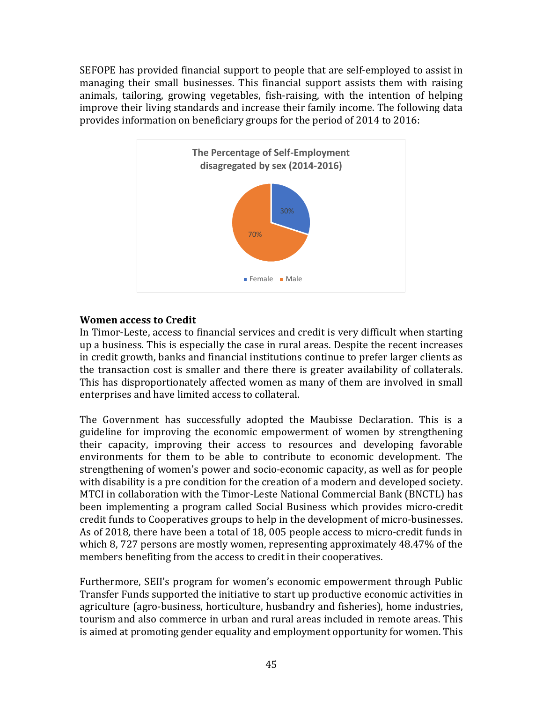SEFOPE has provided financial support to people that are self-employed to assist in managing their small businesses. This financial support assists them with raising animals, tailoring, growing vegetables, fish-raising, with the intention of helping improve their living standards and increase their family income. The following data provides information on beneficiary groups for the period of 2014 to 2016:



# **Women access to Credit**

In Timor-Leste, access to financial services and credit is very difficult when starting up a business. This is especially the case in rural areas. Despite the recent increases in credit growth, banks and financial institutions continue to prefer larger clients as the transaction cost is smaller and there there is greater availability of collaterals. This has disproportionately affected women as many of them are involved in small enterprises and have limited access to collateral.

The Government has successfully adopted the Maubisse Declaration. This is a guideline for improving the economic empowerment of women by strengthening their capacity, improving their access to resources and developing favorable environments for them to be able to contribute to economic development. The strengthening of women's power and socio-economic capacity, as well as for people with disability is a pre condition for the creation of a modern and developed society. MTCI in collaboration with the Timor-Leste National Commercial Bank (BNCTL) has been implementing a program called Social Business which provides micro-credit credit funds to Cooperatives groups to help in the development of micro-businesses. As of 2018, there have been a total of 18, 005 people access to micro-credit funds in which 8, 727 persons are mostly women, representing approximately 48.47% of the members benefiting from the access to credit in their cooperatives.

Furthermore, SEII's program for women's economic empowerment through Public Transfer Funds supported the initiative to start up productive economic activities in agriculture (agro-business, horticulture, husbandry and fisheries), home industries, tourism and also commerce in urban and rural areas included in remote areas. This is aimed at promoting gender equality and employment opportunity for women. This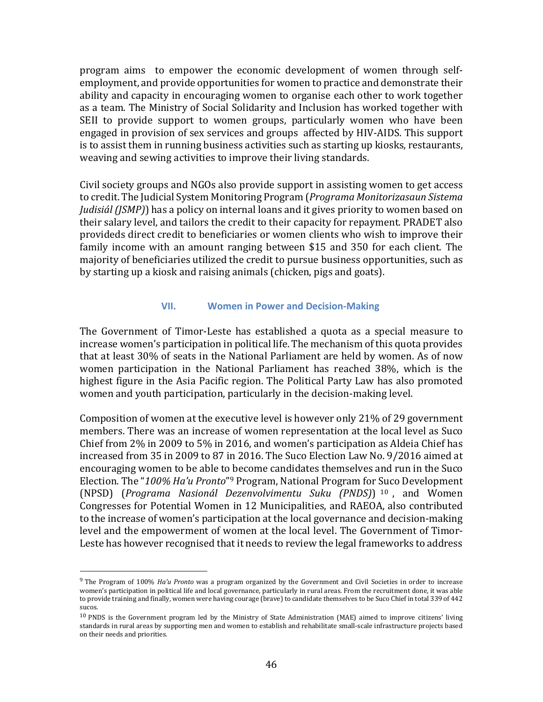program aims to empower the economic development of women through selfemployment, and provide opportunities for women to practice and demonstrate their ability and capacity in encouraging women to organise each other to work together as a team. The Ministry of Social Solidarity and Inclusion has worked together with SEII to provide support to women groups, particularly women who have been engaged in provision of sex services and groups affected by HIV-AIDS. This support is to assist them in running business activities such as starting up kiosks, restaurants, weaving and sewing activities to improve their living standards.

Civil society groups and NGOs also provide support in assisting women to get access to credit. The JudicialSystem Monitoring Program (*Programa Monitorizasaun Sistema Judisiál (JSMP)*) has a policy on internal loans and it gives priority to women based on their salary level, and tailors the credit to their capacity for repayment. PRADET also provideds direct credit to beneficiaries or women clients who wish to improve their family income with an amount ranging between \$15 and 350 for each client. The majority of beneficiaries utilized the credit to pursue business opportunities, such as by starting up a kiosk and raising animals (chicken, pigs and goats).

#### **VII. Women in Power and Decision-Making**

<span id="page-46-0"></span>The Government of Timor-Leste has established a quota as a special measure to increase women's participation in political life. The mechanism of this quota provides that at least 30% of seats in the National Parliament are held by women. As of now women participation in the National Parliament has reached 38%, which is the highest figure in the Asia Pacific region. The Political Party Law has also promoted women and youth participation, particularly in the decision-making level.

Composition of women at the executive level is however only 21% of 29 government members. There was an increase of women representation at the local level as Suco Chief from 2% in 2009 to 5% in 2016, and women's participation as Aldeia Chief has increased from 35 in 2009 to 87 in 2016. The Suco Election Law No. 9/2016 aimed at encouraging women to be able to become candidates themselves and run in the Suco Election. The "*100% Ha'u Pronto*" <sup>9</sup> Program, National Program for Suco Development (NPSD) (*Programa Nasionál Dezenvolvimentu Suku (PNDS)*) <sup>10</sup> , and Women Congresses for Potential Women in 12 Municipalities, and RAEOA, also contributed to the increase of women's participation at the local governance and decision-making level and the empowerment of women at the local level. The Government of Timor-Leste has however recognised that it needs to review the legal frameworks to address

l

<sup>9</sup> The Program of 100% *Ha'u Pronto* was a program organized by the Government and Civil Societies in order to increase women's participation in political life and local governance, particularly in rural areas. From the recruitment done, it was able to provide training and finally, women were having courage (brave) to candidate themselves to be Suco Chief in total 339 of 442 sucos.

<sup>10</sup> PNDS is the Government program led by the Ministry of State Administration (MAE) aimed to improve citizens' living standards in rural areas by supporting men and women to establish and rehabilitate small-scale infrastructure projects based on their needs and priorities.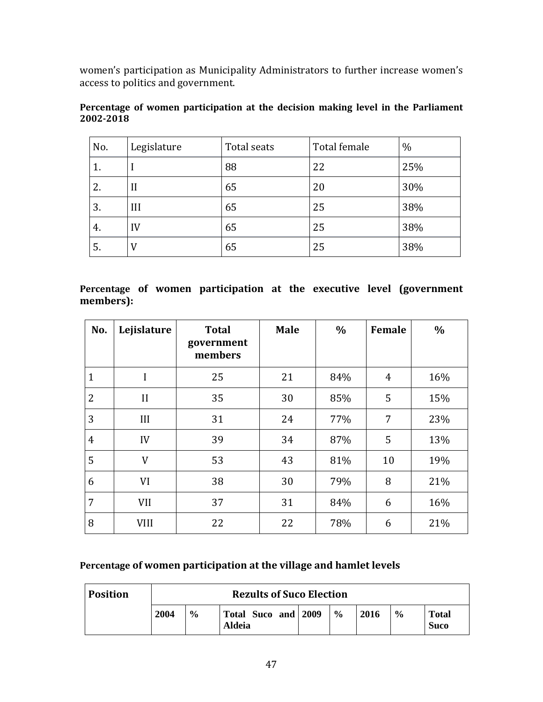women's participation as Municipality Administrators to further increase women's access to politics and government.

| No. | Legislature | Total seats | Total female | $\%$ |
|-----|-------------|-------------|--------------|------|
| 1.  |             | 88          | 22           | 25%  |
| 2.  | $\prod$     | 65          | 20           | 30%  |
| 3.  | III         | 65          | 25           | 38%  |
| 4.  | IV          | 65          | 25           | 38%  |
| 5.  | V           | 65          | 25           | 38%  |

**Percentage of women participation at the decision making level in the Parliament 2002-2018**

**Percentage of women participation at the executive level (government members):**

| No.            | Lejislature | <b>Total</b><br>government<br>members | <b>Male</b> | $\%$ | Female         | $\frac{0}{0}$ |
|----------------|-------------|---------------------------------------|-------------|------|----------------|---------------|
| $\mathbf{1}$   | I           | 25                                    | 21          | 84%  | $\overline{4}$ | 16%           |
| $\overline{2}$ | II          | 35                                    | 30          | 85%  | 5              | 15%           |
| 3              | III         | 31                                    | 24          | 77%  | 7              | 23%           |
| $\overline{4}$ | IV          | 39                                    | 34          | 87%  | 5              | 13%           |
| 5              | V           | 53                                    | 43          | 81%  | 10             | 19%           |
| 6              | VI          | 38                                    | 30          | 79%  | 8              | 21%           |
| 7              | <b>VII</b>  | 37                                    | 31          | 84%  | 6              | 16%           |
| 8              | <b>VIII</b> | 22                                    | 22          | 78%  | 6              | 21%           |

# **Percentage of women participation at the village and hamlet levels**

| <b>Position</b> | <b>Rezults of Suco Election</b> |               |                               |  |               |      |               |                             |  |  |
|-----------------|---------------------------------|---------------|-------------------------------|--|---------------|------|---------------|-----------------------------|--|--|
|                 | 2004                            | $\frac{6}{6}$ | Total Suco and 2009<br>Aldeia |  | $\frac{6}{6}$ | 2016 | $\frac{6}{6}$ | <b>Total</b><br><b>Suco</b> |  |  |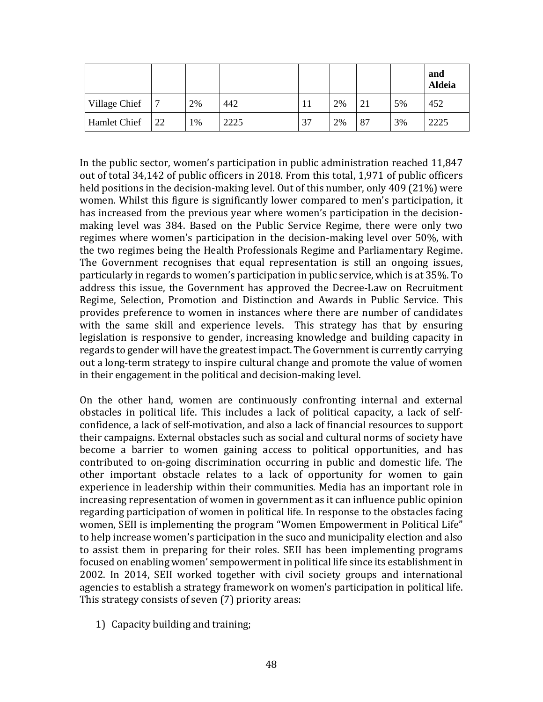|               |    |      |      |     |    |    |    | and<br><b>Aldeia</b> |
|---------------|----|------|------|-----|----|----|----|----------------------|
| Village Chief | 7  | 2%   | 442  | . . | 2% | 21 | 5% | 452                  |
| Hamlet Chief  | 22 | $\%$ | 2225 | 37  | 2% | 87 | 3% | 2225                 |

In the public sector, women's participation in public administration reached 11,847 out of total 34,142 of public officers in 2018. From this total, 1,971 of public officers held positions in the decision-making level. Out of this number, only 409 (21%) were women. Whilst this figure is significantly lower compared to men's participation, it has increased from the previous year where women's participation in the decisionmaking level was 384. Based on the Public Service Regime, there were only two regimes where women's participation in the decision-making level over 50%, with the two regimes being the Health Professionals Regime and Parliamentary Regime. The Government recognises that equal representation is still an ongoing issues, particularly in regards to women's participation in public service, which is at 35%. To address this issue, the Government has approved the Decree-Law on Recruitment Regime, Selection, Promotion and Distinction and Awards in Public Service. This provides preference to women in instances where there are number of candidates with the same skill and experience levels. This strategy has that by ensuring legislation is responsive to gender, increasing knowledge and building capacity in regards to gender will have the greatestimpact. The Government is currently carrying out a long-term strategy to inspire cultural change and promote the value of women in their engagement in the political and decision-making level.

On the other hand, women are continuously confronting internal and external obstacles in political life. This includes a lack of political capacity, a lack of selfconfidence, a lack of self-motivation, and also a lack of financial resources to support their campaigns. External obstacles such as social and cultural norms of society have become a barrier to women gaining access to political opportunities, and has contributed to on-going discrimination occurring in public and domestic life. The other important obstacle relates to a lack of opportunity for women to gain experience in leadership within their communities. Media has an important role in increasing representation of women in government as it can influence public opinion regarding participation of women in political life. In response to the obstacles facing women, SEII is implementing the program "Women Empowerment in Political Life" to help increase women's participation in the suco and municipality election and also to assist them in preparing for their roles. SEII has been implementing programs focused on enabling women' sempowerment in political life since its establishment in 2002. In 2014, SEII worked together with civil society groups and international agencies to establish a strategy framework on women's participation in political life. This strategy consists of seven (7) priority areas:

1) Capacity building and training;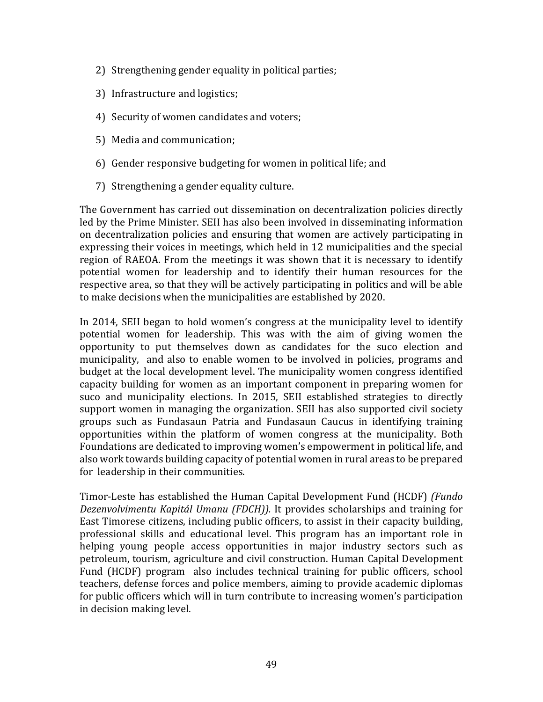- 2) Strengthening gender equality in political parties;
- 3) Infrastructure and logistics;
- 4) Security of women candidates and voters;
- 5) Media and communication;
- 6) Gender responsive budgeting for women in political life; and
- 7) Strengthening a gender equality culture.

The Government has carried out dissemination on decentralization policies directly led by the Prime Minister. SEII has also been involved in disseminating information on decentralization policies and ensuring that women are actively participating in expressing their voices in meetings, which held in 12 municipalities and the special region of RAEOA. From the meetings it was shown that it is necessary to identify potential women for leadership and to identify their human resources for the respective area, so that they will be actively participating in politics and will be able to make decisions when the municipalities are established by 2020.

In 2014, SEII began to hold women's congress at the municipality level to identify potential women for leadership. This was with the aim of giving women the opportunity to put themselves down as candidates for the suco election and municipality, and also to enable women to be involved in policies, programs and budget at the local development level. The municipality women congress identified capacity building for women as an important component in preparing women for suco and municipality elections. In 2015, SEII established strategies to directly support women in managing the organization. SEII has also supported civil society groups such as Fundasaun Patria and Fundasaun Caucus in identifying training opportunities within the platform of women congress at the municipality. Both Foundations are dedicated to improving women's empowerment in political life, and also work towards building capacity of potential women in rural areas to be prepared for leadership in their communities.

Timor-Leste has established the Human Capital Development Fund (HCDF) *(Fundo Dezenvolvimentu Kapitál Umanu (FDCH)).* It provides scholarships and training for East Timorese citizens, including public officers, to assist in their capacity building, professional skills and educational level. This program has an important role in helping young people access opportunities in major industry sectors such as petroleum, tourism, agriculture and civil construction. Human Capital Development Fund (HCDF) program also includes technical training for public officers, school teachers, defense forces and police members, aiming to provide academic diplomas for public officers which will in turn contribute to increasing women's participation in decision making level.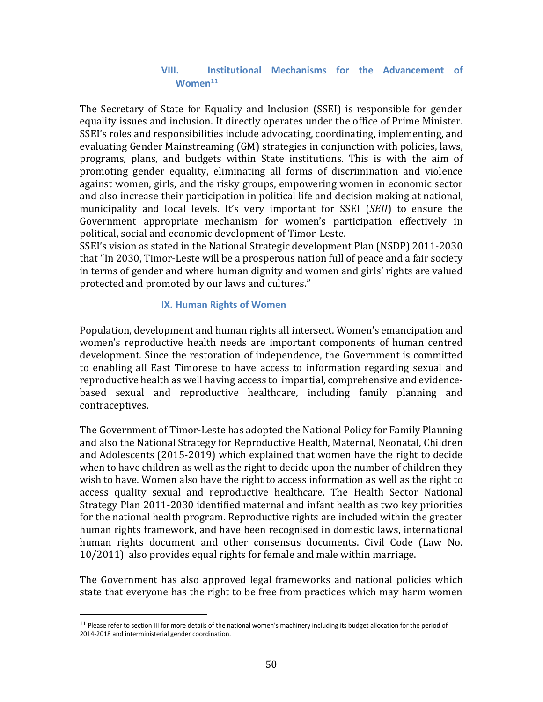# **VIII. Institutional Mechanisms for the Advancement of Women<sup>11</sup>**

<span id="page-50-0"></span>The Secretary of State for Equality and Inclusion (SSEI) is responsible for gender equality issues and inclusion. It directly operates under the office of Prime Minister. SSEI's roles and responsibilities include advocating, coordinating, implementing, and evaluating Gender Mainstreaming (GM) strategies in conjunction with policies, laws, programs, plans, and budgets within State institutions. This is with the aim of promoting gender equality, eliminating all forms of discrimination and violence against women, girls, and the risky groups, empowering women in economic sector and also increase their participation in political life and decision making at national, municipality and local levels. It's very important for SSEI (*SEII*) to ensure the Government appropriate mechanism for women's participation effectively in political, social and economic development of Timor-Leste.

SSEI's vision as stated in the National Strategic development Plan (NSDP) 2011-2030 that "In 2030, Timor-Leste will be a prosperous nation full of peace and a fair society in terms of gender and where human dignity and women and girls' rights are valued protected and promoted by our laws and cultures."

# **IX. Human Rights of Women**

<span id="page-50-1"></span>Population, development and human rights all intersect. Women's emancipation and women's reproductive health needs are important components of human centred development. Since the restoration of independence, the Government is committed to enabling all East Timorese to have access to information regarding sexual and reproductive health as well having access to impartial, comprehensive and evidencebased sexual and reproductive healthcare, including family planning and contraceptives.

The Government of Timor-Leste has adopted the National Policy for Family Planning and also the National Strategy for Reproductive Health, Maternal, Neonatal, Children and Adolescents (2015-2019) which explained that women have the right to decide when to have children as well as the right to decide upon the number of children they wish to have. Women also have the right to access information as well as the right to access quality sexual and reproductive healthcare. The Health Sector National Strategy Plan 2011-2030 identified maternal and infant health as two key priorities for the national health program. Reproductive rights are included within the greater human rights framework, and have been recognised in domestic laws, international human rights document and other consensus documents. Civil Code (Law No. 10/2011) also provides equal rights for female and male within marriage.

The Government has also approved legal frameworks and national policies which state that everyone has the right to be free from practices which may harm women

l

<sup>&</sup>lt;sup>11</sup> Please refer to section III for more details of the national women's machinery including its budget allocation for the period of 2014-2018 and interministerial gender coordination.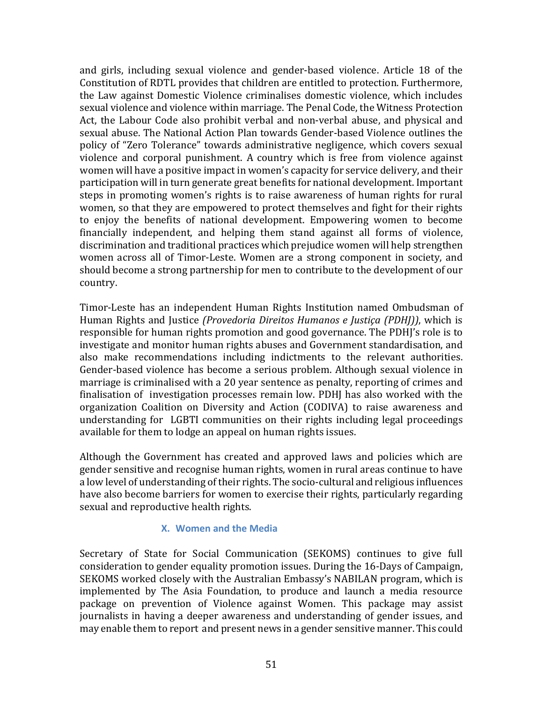and girls, including sexual violence and gender-based violence. Article 18 of the Constitution of RDTL provides that children are entitled to protection. Furthermore, the Law against Domestic Violence criminalises domestic violence, which includes sexual violence and violence within marriage. The Penal Code, the Witness Protection Act, the Labour Code also prohibit verbal and non-verbal abuse, and physical and sexual abuse. The National Action Plan towards Gender-based Violence outlines the policy of "Zero Tolerance" towards administrative negligence, which covers sexual violence and corporal punishment. A country which is free from violence against women will have a positive impact in women's capacity for service delivery, and their participation will in turn generate great benefits for national development. Important steps in promoting women's rights is to raise awareness of human rights for rural women, so that they are empowered to protect themselves and fight for their rights to enjoy the benefits of national development. Empowering women to become financially independent, and helping them stand against all forms of violence, discrimination and traditional practices which prejudice women will help strengthen women across all of Timor-Leste. Women are a strong component in society, and should become a strong partnership for men to contribute to the development of our country.

Timor-Leste has an independent Human Rights Institution named Ombudsman of Human Rights and Justice *(Provedoria Direitos Humanos e Justiça (PDHJ))*, which is responsible for human rights promotion and good governance. The PDHJ's role is to investigate and monitor human rights abuses and Government standardisation, and also make recommendations including indictments to the relevant authorities. Gender-based violence has become a serious problem. Although sexual violence in marriage is criminalised with a 20 year sentence as penalty, reporting of crimes and finalisation of investigation processes remain low. PDHJ has also worked with the organization Coalition on Diversity and Action (CODIVA) to raise awareness and understanding for LGBTI communities on their rights including legal proceedings available for them to lodge an appeal on human rights issues.

Although the Government has created and approved laws and policies which are gender sensitive and recognise human rights, women in rural areas continue to have a low level of understanding oftheir rights. The socio-cultural and religious influences have also become barriers for women to exercise their rights, particularly regarding sexual and reproductive health rights.

# **X. Women and the Media**

<span id="page-51-0"></span>Secretary of State for Social Communication (SEKOMS) continues to give full consideration to gender equality promotion issues. During the 16-Days of Campaign, SEKOMS worked closely with the Australian Embassy's NABILAN program, which is implemented by The Asia Foundation, to produce and launch a media resource package on prevention of Violence against Women. This package may assist journalists in having a deeper awareness and understanding of gender issues, and may enable them to report and present news in a gender sensitive manner. This could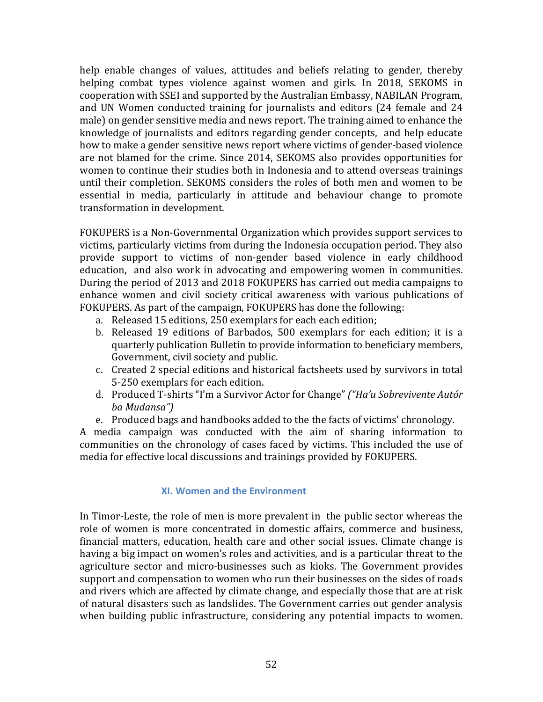help enable changes of values, attitudes and beliefs relating to gender, thereby helping combat types violence against women and girls. In 2018, SEKOMS in cooperation with SSEI and supported by the Australian Embassy, NABILAN Program, and UN Women conducted training for journalists and editors (24 female and 24 male) on gender sensitive media and news report. The training aimed to enhance the knowledge of journalists and editors regarding gender concepts, and help educate how to make a gender sensitive news report where victims of gender-based violence are not blamed for the crime. Since 2014, SEKOMS also provides opportunities for women to continue their studies both in Indonesia and to attend overseas trainings until their completion. SEKOMS considers the roles of both men and women to be essential in media, particularly in attitude and behaviour change to promote transformation in development.

FOKUPERS is a Non-Governmental Organization which provides support services to victims, particularly victims from during the Indonesia occupation period. They also provide support to victims of non-gender based violence in early childhood education, and also work in advocating and empowering women in communities. During the period of 2013 and 2018 FOKUPERS has carried out media campaigns to enhance women and civil society critical awareness with various publications of FOKUPERS. As part of the campaign, FOKUPERS has done the following:

- a. Released 15 editions, 250 exemplars for each each edition;
- b. Released 19 editions of Barbados, 500 exemplars for each edition; it is a quarterly publication Bulletin to provide information to beneficiary members, Government, civil society and public.
- c. Created 2 special editions and historical factsheets used by survivors in total 5-250 exemplars for each edition.
- d. Produced T-shirts "I'm a Survivor Actor for Change" *("Ha'u Sobrevivente Autór ba Mudansa")*
- e. Produced bags and handbooks added to the the facts of victims' chronology.

A media campaign was conducted with the aim of sharing information to communities on the chronology of cases faced by victims. This included the use of media for effective local discussions and trainings provided by FOKUPERS.

# **XI. Women and the Environment**

<span id="page-52-0"></span>In Timor-Leste, the role of men is more prevalent in the public sector whereas the role of women is more concentrated in domestic affairs, commerce and business, financial matters, education, health care and other social issues. Climate change is having a big impact on women's roles and activities, and is a particular threat to the agriculture sector and micro-businesses such as kioks. The Government provides support and compensation to women who run their businesses on the sides of roads and rivers which are affected by climate change, and especially those that are at risk of natural disasters such as landslides. The Government carries out gender analysis when building public infrastructure, considering any potential impacts to women.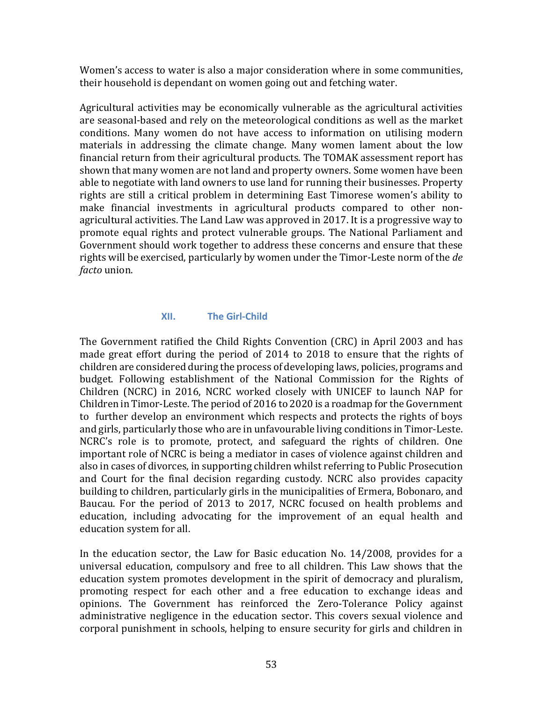Women's access to water is also a major consideration where in some communities, their household is dependant on women going out and fetching water.

Agricultural activities may be economically vulnerable as the agricultural activities are seasonal-based and rely on the meteorological conditions as well as the market conditions. Many women do not have access to information on utilising modern materials in addressing the climate change. Many women lament about the low financial return from their agricultural products. The TOMAK assessment report has shown that many women are not land and property owners. Some women have been able to negotiate with land owners to use land for running their businesses. Property rights are still a critical problem in determining East Timorese women's ability to make financial investments in agricultural products compared to other nonagricultural activities. The Land Law was approved in 2017. It is a progressive way to promote equal rights and protect vulnerable groups. The National Parliament and Government should work together to address these concerns and ensure that these rights will be exercised, particularly by women under the Timor-Leste norm of the *de facto* union.

# **XII. The Girl-Child**

<span id="page-53-0"></span>The Government ratified the Child Rights Convention (CRC) in April 2003 and has made great effort during the period of 2014 to 2018 to ensure that the rights of children are considered during the process of developing laws, policies, programs and budget. Following establishment of the National Commission for the Rights of Children (NCRC) in 2016, NCRC worked closely with UNICEF to launch NAP for Children in Timor-Leste. The period of 2016 to 2020 is a roadmap for the Government to further develop an environment which respects and protects the rights of boys and girls, particularly those who are in unfavourable living conditions in Timor-Leste. NCRC's role is to promote, protect, and safeguard the rights of children. One important role of NCRC is being a mediator in cases of violence against children and also in cases of divorces, in supporting children whilst referring to Public Prosecution and Court for the final decision regarding custody. NCRC also provides capacity building to children, particularly girls in the municipalities of Ermera, Bobonaro, and Baucau. For the period of 2013 to 2017, NCRC focused on health problems and education, including advocating for the improvement of an equal health and education system for all.

In the education sector, the Law for Basic education No. 14/2008, provides for a universal education, compulsory and free to all children. This Law shows that the education system promotes development in the spirit of democracy and pluralism, promoting respect for each other and a free education to exchange ideas and opinions. The Government has reinforced the Zero-Tolerance Policy against administrative negligence in the education sector. This covers sexual violence and corporal punishment in schools, helping to ensure security for girls and children in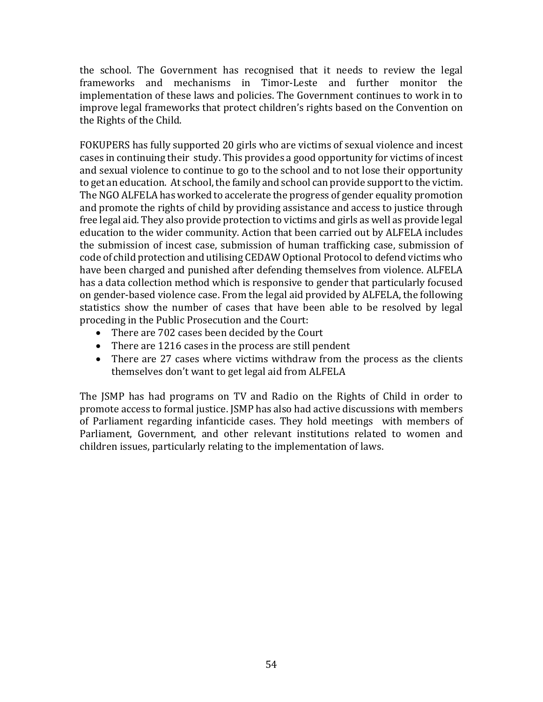the school. The Government has recognised that it needs to review the legal frameworks and mechanisms in Timor-Leste and further monitor the implementation of these laws and policies. The Government continues to work in to improve legal frameworks that protect children's rights based on the Convention on the Rights of the Child.

FOKUPERS has fully supported 20 girls who are victims of sexual violence and incest cases in continuing their study. This provides a good opportunity for victims of incest and sexual violence to continue to go to the school and to not lose their opportunity to get an education. At school, the family and school can provide support to the victim. The NGO ALFELA has worked to accelerate the progress of gender equality promotion and promote the rights of child by providing assistance and access to justice through free legal aid. They also provide protection to victims and girls as well as provide legal education to the wider community. Action that been carried out by ALFELA includes the submission of incest case, submission of human trafficking case, submission of code of child protection and utilising CEDAW Optional Protocol to defend victims who have been charged and punished after defending themselves from violence. ALFELA has a data collection method which is responsive to gender that particularly focused on gender-based violence case. From the legal aid provided by ALFELA, the following statistics show the number of cases that have been able to be resolved by legal proceding in the Public Prosecution and the Court:

- There are 702 cases been decided by the Court
- There are 1216 cases in the process are still pendent
- There are 27 cases where victims withdraw from the process as the clients themselves don't want to get legal aid from ALFELA

The JSMP has had programs on TV and Radio on the Rights of Child in order to promote access to formal justice. JSMP has also had active discussions with members of Parliament regarding infanticide cases. They hold meetings with members of Parliament, Government, and other relevant institutions related to women and children issues, particularly relating to the implementation of laws.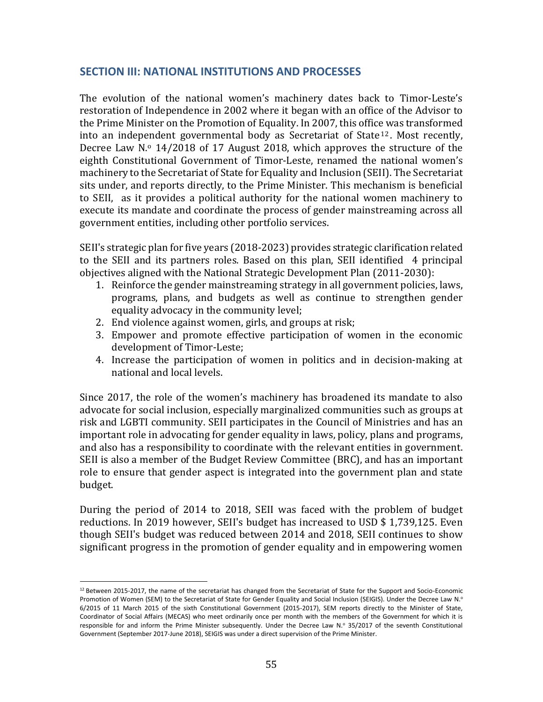# <span id="page-55-0"></span>**SECTION III: NATIONAL INSTITUTIONS AND PROCESSES**

The evolution of the national women's machinery dates back to Timor-Leste's restoration of Independence in 2002 where it began with an office of the Advisor to the Prime Minister on the Promotion of Equality. In 2007, this office was transformed into an independent governmental body as Secretariat of State <sup>12</sup> . Most recently, Decree Law N.º 14/2018 of 17 August 2018, which approves the structure of the eighth Constitutional Government of Timor-Leste, renamed the national women's machinery to the Secretariat of State for Equality and Inclusion (SEII). The Secretariat sits under, and reports directly, to the Prime Minister. This mechanism is beneficial to SEII, as it provides a political authority for the national women machinery to execute its mandate and coordinate the process of gender mainstreaming across all government entities, including other portfolio services.

SEII's strategic plan for five years (2018-2023) provides strategic clarification related to the SEII and its partners roles. Based on this plan, SEII identified 4 principal objectives aligned with the National Strategic Development Plan (2011-2030):

- 1. Reinforce the gender mainstreaming strategy in all government policies, laws, programs, plans, and budgets as well as continue to strengthen gender equality advocacy in the community level;
- 2. End violence against women, girls, and groups at risk;
- 3. Empower and promote effective participation of women in the economic development of Timor-Leste;
- 4. Increase the participation of women in politics and in decision-making at national and local levels.

Since 2017, the role of the women's machinery has broadened its mandate to also advocate for social inclusion, especially marginalized communities such as groups at risk and LGBTI community. SEII participates in the Council of Ministries and has an important role in advocating for gender equality in laws, policy, plans and programs, and also has a responsibility to coordinate with the relevant entities in government. SEII is also a member of the Budget Review Committee (BRC), and has an important role to ensure that gender aspect is integrated into the government plan and state budget.

During the period of 2014 to 2018, SEII was faced with the problem of budget reductions. In 2019 however, SEII's budget has increased to USD \$ 1,739,125. Even though SEII's budget was reduced between 2014 and 2018, SEII continues to show significant progress in the promotion of gender equality and in empowering women

l

 $12$  Between 2015-2017, the name of the secretariat has changed from the Secretariat of State for the Support and Socio-Economic Promotion of Women (SEM) to the Secretariat of State for Gender Equality and Social Inclusion (SEIGIS). Under the Decree Law N.º 6/2015 of 11 March 2015 of the sixth Constitutional Government (2015-2017), SEM reports directly to the Minister of State, Coordinator of Social Affairs (MECAS) who meet ordinarily once per month with the members of the Government for which it is responsible for and inform the Prime Minister subsequently. Under the Decree Law N.º 35/2017 of the seventh Constitutional Government (September 2017-June 2018), SEIGIS was under a direct supervision of the Prime Minister.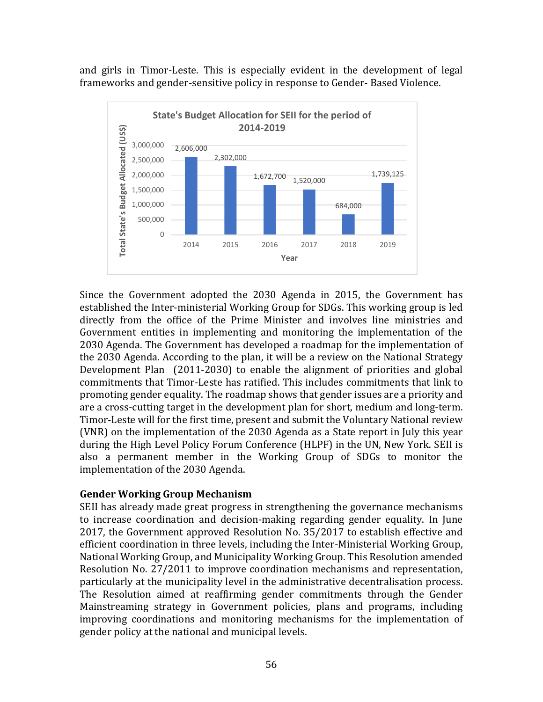and girls in Timor-Leste. This is especially evident in the development of legal frameworks and gender-sensitive policy in response to Gender- Based Violence.



Since the Government adopted the 2030 Agenda in 2015, the Government has established the Inter-ministerial Working Group for SDGs. This working group is led directly from the office of the Prime Minister and involves line ministries and Government entities in implementing and monitoring the implementation of the 2030 Agenda. The Government has developed a roadmap for the implementation of the 2030 Agenda. According to the plan, it will be a review on the National Strategy Development Plan (2011-2030) to enable the alignment of priorities and global commitments that Timor-Leste has ratified. This includes commitments that link to promoting gender equality. The roadmap shows that gender issues are a priority and are a cross-cutting target in the development plan for short, medium and long-term. Timor-Leste will for the first time, present and submit the Voluntary National review (VNR) on the implementation of the 2030 Agenda as a State report in July this year during the High Level Policy Forum Conference (HLPF) in the UN, New York. SEII is also a permanent member in the Working Group of SDGs to monitor the implementation of the 2030 Agenda.

# **Gender Working Group Mechanism**

SEII has already made great progress in strengthening the governance mechanisms to increase coordination and decision-making regarding gender equality. In June 2017, the Government approved Resolution No. 35/2017 to establish effective and efficient coordination in three levels, including the Inter-Ministerial Working Group, National Working Group, and Municipality Working Group. This Resolution amended Resolution No. 27/2011 to improve coordination mechanisms and representation, particularly at the municipality level in the administrative decentralisation process. The Resolution aimed at reaffirming gender commitments through the Gender Mainstreaming strategy in Government policies, plans and programs, including improving coordinations and monitoring mechanisms for the implementation of gender policy at the national and municipal levels.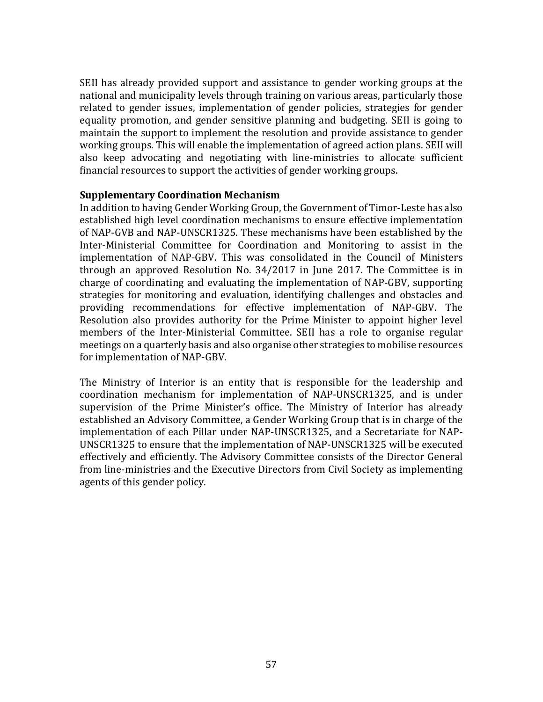SEII has already provided support and assistance to gender working groups at the national and municipality levels through training on various areas, particularly those related to gender issues, implementation of gender policies, strategies for gender equality promotion, and gender sensitive planning and budgeting. SEII is going to maintain the support to implement the resolution and provide assistance to gender working groups. This will enable the implementation of agreed action plans. SEII will also keep advocating and negotiating with line-ministries to allocate sufficient financial resources to support the activities of gender working groups.

# **Supplementary Coordination Mechanism**

In addition to having Gender Working Group, the Government of Timor-Leste has also established high level coordination mechanisms to ensure effective implementation of NAP-GVB and NAP-UNSCR1325. These mechanisms have been established by the Inter-Ministerial Committee for Coordination and Monitoring to assist in the implementation of NAP-GBV. This was consolidated in the Council of Ministers through an approved Resolution No. 34/2017 in June 2017. The Committee is in charge of coordinating and evaluating the implementation of NAP-GBV, supporting strategies for monitoring and evaluation, identifying challenges and obstacles and providing recommendations for effective implementation of NAP-GBV. The Resolution also provides authority for the Prime Minister to appoint higher level members of the Inter-Ministerial Committee. SEII has a role to organise regular meetings on a quarterly basis and also organise other strategies to mobilise resources for implementation of NAP-GBV.

The Ministry of Interior is an entity that is responsible for the leadership and coordination mechanism for implementation of NAP-UNSCR1325, and is under supervision of the Prime Minister's office. The Ministry of Interior has already established an Advisory Committee, a Gender Working Group that is in charge of the implementation of each Pillar under NAP-UNSCR1325, and a Secretariate for NAP-UNSCR1325 to ensure that the implementation of NAP-UNSCR1325 will be executed effectively and efficiently. The Advisory Committee consists of the Director General from line-ministries and the Executive Directors from Civil Society as implementing agents of this gender policy.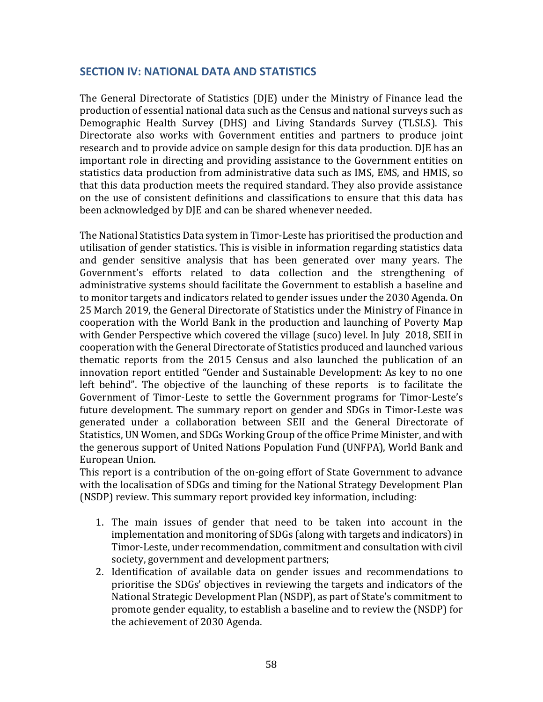# <span id="page-58-0"></span>**SECTION IV: NATIONAL DATA AND STATISTICS**

The General Directorate of Statistics (DJE) under the Ministry of Finance lead the production of essential national data such as the Census and national surveys such as Demographic Health Survey (DHS) and Living Standards Survey (TLSLS). This Directorate also works with Government entities and partners to produce joint research and to provide advice on sample design for this data production. DJE has an important role in directing and providing assistance to the Government entities on statistics data production from administrative data such as IMS, EMS, and HMIS, so that this data production meets the required standard. They also provide assistance on the use of consistent definitions and classifications to ensure that this data has been acknowledged by DJE and can be shared whenever needed.

The National Statistics Data system in Timor-Leste has prioritised the production and utilisation of gender statistics. This is visible in information regarding statistics data and gender sensitive analysis that has been generated over many years. The Government's efforts related to data collection and the strengthening of administrative systems should facilitate the Government to establish a baseline and to monitor targets and indicators related to gender issues under the 2030 Agenda. On 25 March 2019, the General Directorate of Statistics under the Ministry of Finance in cooperation with the World Bank in the production and launching of Poverty Map with Gender Perspective which covered the village (suco) level. In July 2018, SEII in cooperation with the General Directorate of Statistics produced and launched various thematic reports from the 2015 Census and also launched the publication of an innovation report entitled "Gender and Sustainable Development: As key to no one left behind". The objective of the launching of these reports is to facilitate the Government of Timor-Leste to settle the Government programs for Timor-Leste's future development. The summary report on gender and SDGs in Timor-Leste was generated under a collaboration between SEII and the General Directorate of Statistics, UN Women, and SDGs Working Group of the office Prime Minister, and with the generous support of United Nations Population Fund (UNFPA), World Bank and European Union.

This report is a contribution of the on-going effort of State Government to advance with the localisation of SDGs and timing for the National Strategy Development Plan (NSDP) review. This summary report provided key information, including:

- 1. The main issues of gender that need to be taken into account in the implementation and monitoring of SDGs (along with targets and indicators) in Timor-Leste, under recommendation, commitment and consultation with civil society, government and development partners;
- 2. Identification of available data on gender issues and recommendations to prioritise the SDGs' objectives in reviewing the targets and indicators of the National Strategic Development Plan (NSDP), as part of State's commitment to promote gender equality, to establish a baseline and to review the (NSDP) for the achievement of 2030 Agenda.